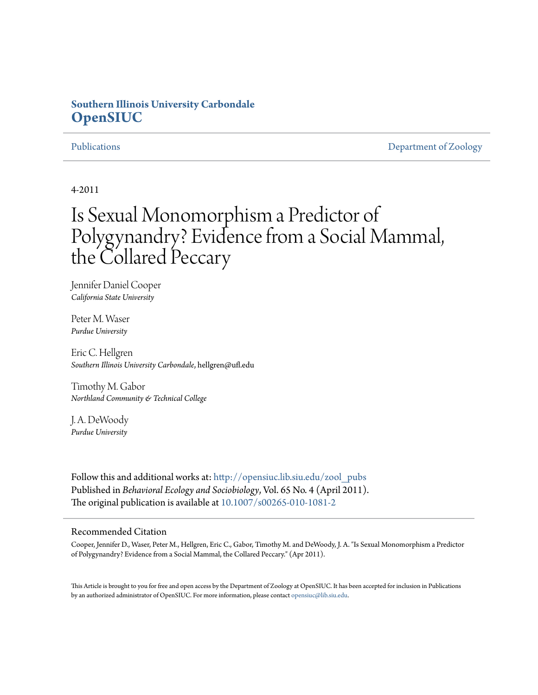# **Southern Illinois University Carbondale [OpenSIUC](http://opensiuc.lib.siu.edu?utm_source=opensiuc.lib.siu.edu%2Fzool_pubs%2F56&utm_medium=PDF&utm_campaign=PDFCoverPages)**

[Publications](http://opensiuc.lib.siu.edu/zool_pubs?utm_source=opensiuc.lib.siu.edu%2Fzool_pubs%2F56&utm_medium=PDF&utm_campaign=PDFCoverPages) **[Department of Zoology](http://opensiuc.lib.siu.edu/zool?utm_source=opensiuc.lib.siu.edu%2Fzool_pubs%2F56&utm_medium=PDF&utm_campaign=PDFCoverPages)** 

### 4-2011

# Is Sexual Monomorphism a Predictor of Polygynandry? Evidence from a Social Mammal, the Collared Peccary

Jennifer Daniel Cooper *California State University*

Peter M. Waser *Purdue University*

Eric C. Hellgren *Southern Illinois University Carbondale*, hellgren@ufl.edu

Timothy M. Gabor *Northland Community & Technical College*

J. A. DeWoody *Purdue University*

Follow this and additional works at: [http://opensiuc.lib.siu.edu/zool\\_pubs](http://opensiuc.lib.siu.edu/zool_pubs?utm_source=opensiuc.lib.siu.edu%2Fzool_pubs%2F56&utm_medium=PDF&utm_campaign=PDFCoverPages) Published in *Behavioral Ecology and Sociobiology*, Vol. 65 No. 4 (April 2011). The original publication is available at [10.1007/s00265-010-1081-2](http://dx.doi.org/10.1007/s00265-010-1081-2)

#### Recommended Citation

Cooper, Jennifer D., Waser, Peter M., Hellgren, Eric C., Gabor, Timothy M. and DeWoody, J. A. "Is Sexual Monomorphism a Predictor of Polygynandry? Evidence from a Social Mammal, the Collared Peccary." (Apr 2011).

This Article is brought to you for free and open access by the Department of Zoology at OpenSIUC. It has been accepted for inclusion in Publications by an authorized administrator of OpenSIUC. For more information, please contact [opensiuc@lib.siu.edu.](mailto:opensiuc@lib.siu.edu)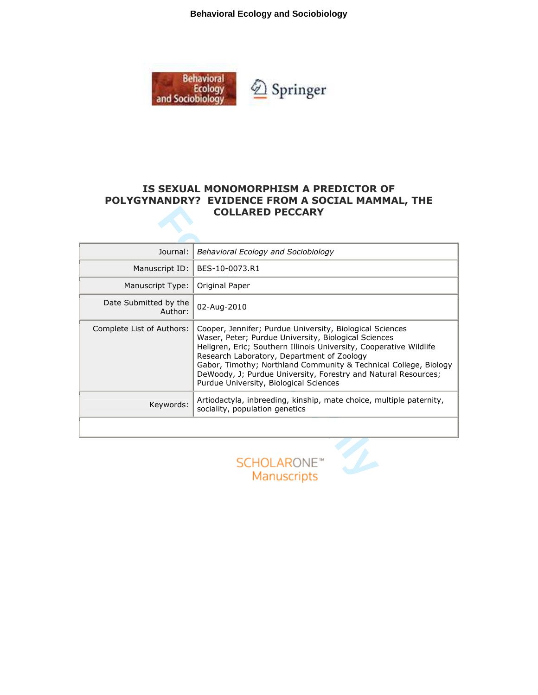**Behavioral Ecology and Sociobiology**



# IS SEXUAL MONOMORPHISM A PREDICTOR OF POLYGYNANDRY? EVIDENCE FROM A SOCIAL MAMMAL, THE COLLARED PECCARY

| Journal:                         | Behavioral Ecology and Sociobiology                                                                                                                                                                                                                                                                                                                                                                                  |  |  |  |  |
|----------------------------------|----------------------------------------------------------------------------------------------------------------------------------------------------------------------------------------------------------------------------------------------------------------------------------------------------------------------------------------------------------------------------------------------------------------------|--|--|--|--|
| Manuscript ID:                   | BES-10-0073.R1                                                                                                                                                                                                                                                                                                                                                                                                       |  |  |  |  |
| Manuscript Type:                 | Original Paper                                                                                                                                                                                                                                                                                                                                                                                                       |  |  |  |  |
| Date Submitted by the<br>Author: | 02-Aug-2010                                                                                                                                                                                                                                                                                                                                                                                                          |  |  |  |  |
| Complete List of Authors:        | Cooper, Jennifer; Purdue University, Biological Sciences<br>Waser, Peter; Purdue University, Biological Sciences<br>Hellgren, Eric; Southern Illinois University, Cooperative Wildlife<br>Research Laboratory, Department of Zoology<br>Gabor, Timothy; Northland Community & Technical College, Biology<br>DeWoody, J; Purdue University, Forestry and Natural Resources;<br>Purdue University, Biological Sciences |  |  |  |  |
| Keywords:                        | Artiodactyla, inbreeding, kinship, mate choice, multiple paternity,<br>sociality, population genetics                                                                                                                                                                                                                                                                                                                |  |  |  |  |
|                                  |                                                                                                                                                                                                                                                                                                                                                                                                                      |  |  |  |  |
|                                  | <b>SCHOLARONE™</b><br>Manuscripts                                                                                                                                                                                                                                                                                                                                                                                    |  |  |  |  |

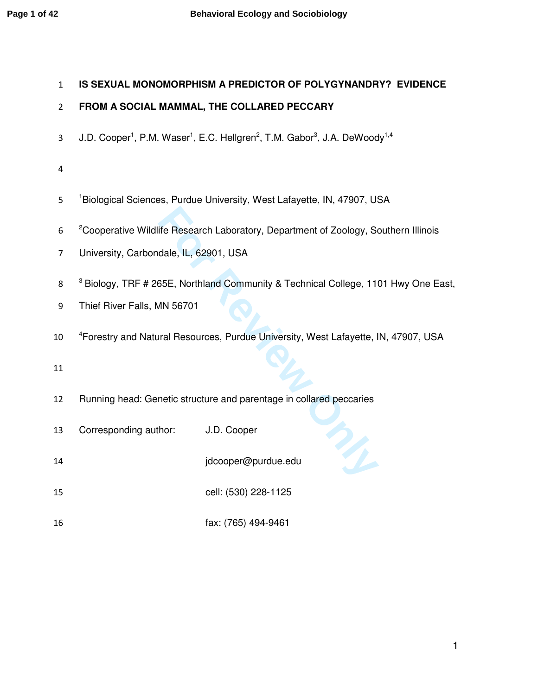# **IS SEXUAL MONOMORPHISM A PREDICTOR OF POLYGYNANDRY? EVIDENCE**

# **FROM A SOCIAL MAMMAL, THE COLLARED PECCARY**

- 3 J.D. Cooper<sup>1</sup>, P.M. Waser<sup>1</sup>, E.C. Hellgren<sup>2</sup>, T.M. Gabor<sup>3</sup>, J.A. DeWoody<sup>1,4</sup>
- 
- 5 <sup>1</sup>Biological Sciences, Purdue University, West Lafayette, IN, 47907, USA
- <sup>2</sup> Cooperative Wildlife Research Laboratory, Department of Zoology, Southern Illinois
- University, Carbondale, IL, 62901, USA
- For Research Laboratory, Department of Zoology, Schoology, Schoology, Schoology, Schoology, USA<br>
For Review Only 2015<br>
For Resources, Purdue University, West Lafayette, Internal Resources, Purdue University, West Lafayette <sup>3</sup> Biology, TRF # 265E, Northland Community & Technical College, 1101 Hwy One East,
- Thief River Falls, MN 56701
- 10 <sup>4</sup> Forestry and Natural Resources, Purdue University, West Lafayette, IN, 47907, USA

- Running head: Genetic structure and parentage in collared peccaries
- Corresponding author: J.D. Cooper
- jdcooper@purdue.edu
- cell: (530) 228-1125
- fax: (765) 494-9461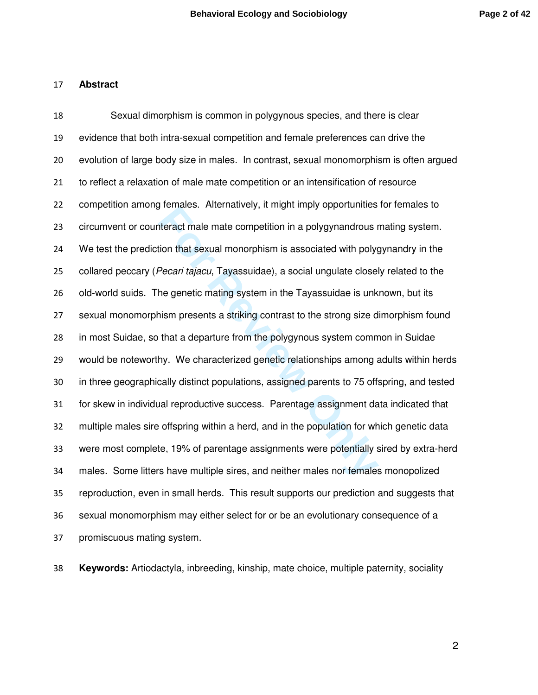#### **Abstract**

Formates. Anternatively, it might imply opportanties<br>theract male mate competition in a polygynandrous r<br>tion that sexual monorphism is associated with polyg<br>Pecari tajacu, Tayassuidae), a social ungulate closel<br>the geneti Sexual dimorphism is common in polygynous species, and there is clear evidence that both intra-sexual competition and female preferences can drive the evolution of large body size in males. In contrast, sexual monomorphism is often argued to reflect a relaxation of male mate competition or an intensification of resource competition among females. Alternatively, it might imply opportunities for females to circumvent or counteract male mate competition in a polygynandrous mating system. We test the prediction that sexual monorphism is associated with polygynandry in the 25 collared peccary (*Pecari tajacu*, Tayassuidae), a social ungulate closely related to the old-world suids. The genetic mating system in the Tayassuidae is unknown, but its sexual monomorphism presents a striking contrast to the strong size dimorphism found in most Suidae, so that a departure from the polygynous system common in Suidae would be noteworthy. We characterized genetic relationships among adults within herds in three geographically distinct populations, assigned parents to 75 offspring, and tested for skew in individual reproductive success. Parentage assignment data indicated that multiple males sire offspring within a herd, and in the population for which genetic data were most complete, 19% of parentage assignments were potentially sired by extra-herd males. Some litters have multiple sires, and neither males nor females monopolized reproduction, even in small herds. This result supports our prediction and suggests that sexual monomorphism may either select for or be an evolutionary consequence of a promiscuous mating system.

**Keywords:** Artiodactyla, inbreeding, kinship, mate choice, multiple paternity, sociality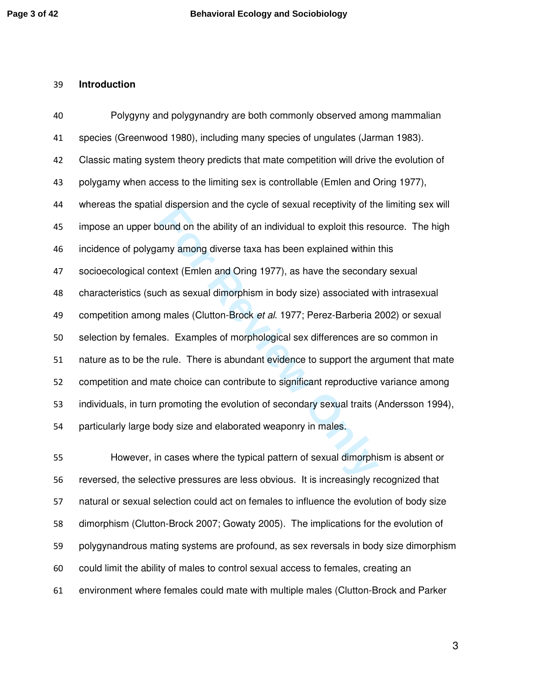#### **Introduction**

For all the system and the system sexual forespinity of the cound on the ability of an individual to exploit this rest any among diverse taxa has been explained within thext (Emlen and Oring 1977), as have the seconda<br>ch a Polygyny and polygynandry are both commonly observed among mammalian species (Greenwood 1980), including many species of ungulates (Jarman 1983). Classic mating system theory predicts that mate competition will drive the evolution of polygamy when access to the limiting sex is controllable (Emlen and Oring 1977), whereas the spatial dispersion and the cycle of sexual receptivity of the limiting sex will impose an upper bound on the ability of an individual to exploit this resource. The high incidence of polygamy among diverse taxa has been explained within this socioecological context (Emlen and Oring 1977), as have the secondary sexual characteristics (such as sexual dimorphism in body size) associated with intrasexual 49 competition among males (Clutton-Brock et al. 1977; Perez-Barberia 2002) or sexual selection by females. Examples of morphological sex differences are so common in nature as to be the rule. There is abundant evidence to support the argument that mate competition and mate choice can contribute to significant reproductive variance among individuals, in turn promoting the evolution of secondary sexual traits (Andersson 1994), particularly large body size and elaborated weaponry in males.

However, in cases where the typical pattern of sexual dimorphism is absent or reversed, the selective pressures are less obvious. It is increasingly recognized that natural or sexual selection could act on females to influence the evolution of body size dimorphism (Clutton-Brock 2007; Gowaty 2005). The implications for the evolution of polygynandrous mating systems are profound, as sex reversals in body size dimorphism could limit the ability of males to control sexual access to females, creating an environment where females could mate with multiple males (Clutton-Brock and Parker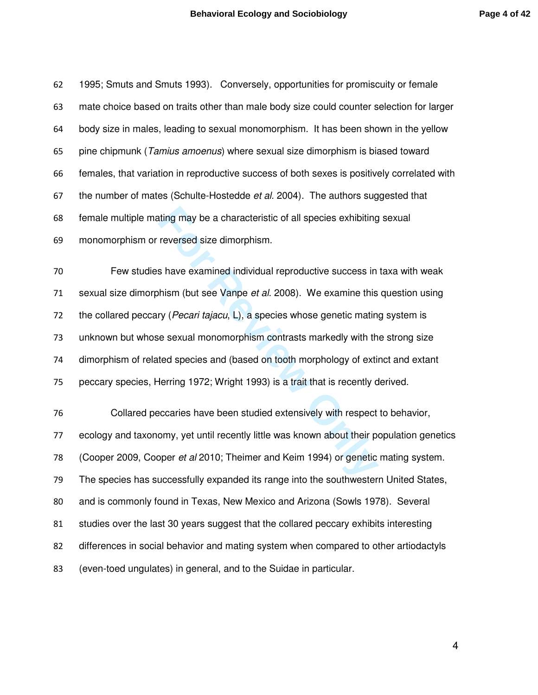1995; Smuts and Smuts 1993). Conversely, opportunities for promiscuity or female mate choice based on traits other than male body size could counter selection for larger body size in males, leading to sexual monomorphism. It has been shown in the yellow 65 pine chipmunk (Tamius amoenus) where sexual size dimorphism is biased toward females, that variation in reproductive success of both sexes is positively correlated with 67 the number of mates (Schulte-Hostedde *et al.* 2004). The authors suggested that female multiple mating may be a characteristic of all species exhibiting sexual monomorphism or reversed size dimorphism.

ting may be a characteristic of all species exhibiting<br>reversed size dimorphism.<br>So have examined individual reproductive success in<br>thism (but see Vanpe *et al.* 2008). We examine this<br>ry (*Pecari tajacu*, L), a species w Few studies have examined individual reproductive success in taxa with weak 71 sexual size dimorphism (but see Vanpe *et al.* 2008). We examine this question using 72 the collared peccary (*Pecari tajacu*,  $L$ ), a species whose genetic mating system is unknown but whose sexual monomorphism contrasts markedly with the strong size dimorphism of related species and (based on tooth morphology of extinct and extant peccary species, Herring 1972; Wright 1993) is a trait that is recently derived.

Collared peccaries have been studied extensively with respect to behavior, ecology and taxonomy, yet until recently little was known about their population genetics (Cooper 2009, Cooper et al 2010; Theimer and Keim 1994) or genetic mating system. The species has successfully expanded its range into the southwestern United States, and is commonly found in Texas, New Mexico and Arizona (Sowls 1978). Several studies over the last 30 years suggest that the collared peccary exhibits interesting differences in social behavior and mating system when compared to other artiodactyls (even-toed ungulates) in general, and to the Suidae in particular.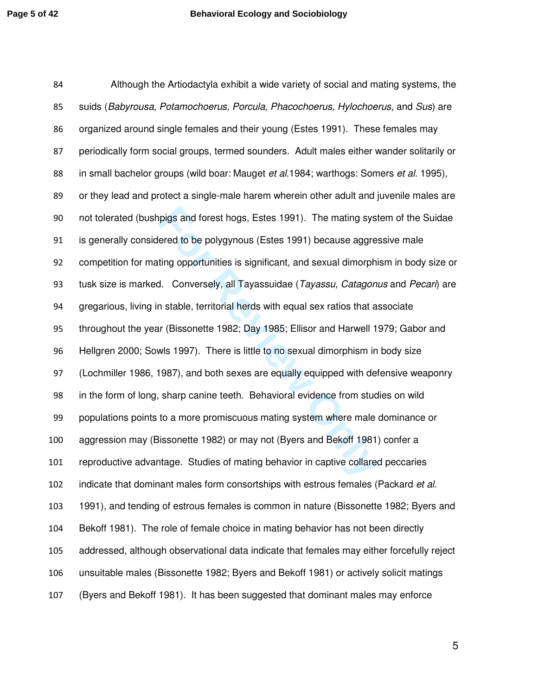pigs and forest hogs, Estes 1991). The mating systemed to be polygynous (Estes 1991) because aggreting opportunities is significant, and sexual dimorphiant. Conversely, all Tayassuidae (*Tayassu, Catagonicanta State Conver* Although the Artiodactyla exhibit a wide variety of social and mating systems, the 85 suids (Babyrousa, Potamochoerus, Porcula, Phacochoerus, Hylochoerus, and Sus) are organized around single females and their young (Estes 1991). These females may periodically form social groups, termed sounders. Adult males either wander solitarily or 88 in small bachelor groups (wild boar: Mauget et al. 1984; warthogs: Somers et al. 1995), or they lead and protect a single-male harem wherein other adult and juvenile males are not tolerated (bushpigs and forest hogs, Estes 1991). The mating system of the Suidae is generally considered to be polygynous (Estes 1991) because aggressive male competition for mating opportunities is significant, and sexual dimorphism in body size or 93 tusk size is marked. Conversely, all Tayassuidae (Tayassu, Catagonus and Pecari) are gregarious, living in stable, territorial herds with equal sex ratios that associate throughout the year (Bissonette 1982; Day 1985; Ellisor and Harwell 1979; Gabor and Hellgren 2000; Sowls 1997). There is little to no sexual dimorphism in body size (Lochmiller 1986, 1987), and both sexes are equally equipped with defensive weaponry in the form of long, sharp canine teeth. Behavioral evidence from studies on wild populations points to a more promiscuous mating system where male dominance or aggression may (Bissonette 1982) or may not (Byers and Bekoff 1981) confer a reproductive advantage. Studies of mating behavior in captive collared peccaries 102 indicate that dominant males form consortships with estrous females (Packard *et al.*) 1991), and tending of estrous females is common in nature (Bissonette 1982; Byers and Bekoff 1981). The role of female choice in mating behavior has not been directly addressed, although observational data indicate that females may either forcefully reject unsuitable males (Bissonette 1982; Byers and Bekoff 1981) or actively solicit matings (Byers and Bekoff 1981). It has been suggested that dominant males may enforce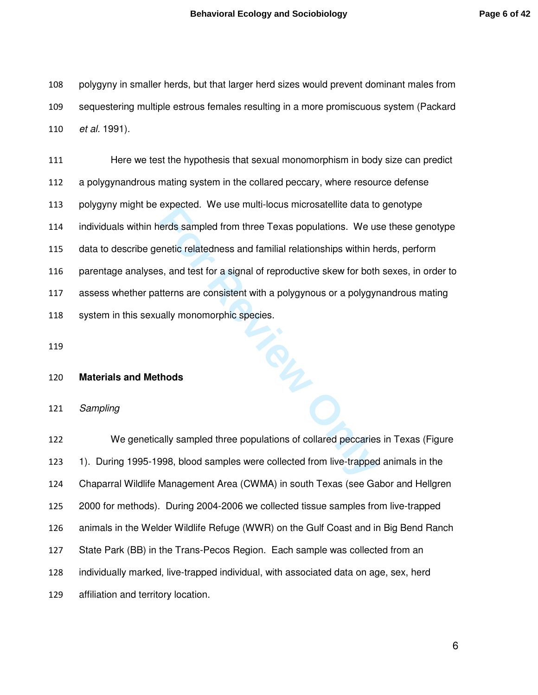polygyny in smaller herds, but that larger herd sizes would prevent dominant males from sequestering multiple estrous females resulting in a more promiscuous system (Packard *et al.* 1991).

Expected. We doe main locals included included to<br>terds sampled from three Texas populations. We use<br>metic relatedness and familial relationships within h<br>s, and test for a signal of reproductive skew for both<br>titerns are Here we test the hypothesis that sexual monomorphism in body size can predict a polygynandrous mating system in the collared peccary, where resource defense polygyny might be expected. We use multi-locus microsatellite data to genotype individuals within herds sampled from three Texas populations. We use these genotype data to describe genetic relatedness and familial relationships within herds, perform parentage analyses, and test for a signal of reproductive skew for both sexes, in order to assess whether patterns are consistent with a polygynous or a polygynandrous mating system in this sexually monomorphic species.

#### **Materials and Methods**

Sampling

We genetically sampled three populations of collared peccaries in Texas (Figure 1). During 1995-1998, blood samples were collected from live-trapped animals in the Chaparral Wildlife Management Area (CWMA) in south Texas (see Gabor and Hellgren 2000 for methods). During 2004-2006 we collected tissue samples from live-trapped animals in the Welder Wildlife Refuge (WWR) on the Gulf Coast and in Big Bend Ranch State Park (BB) in the Trans-Pecos Region. Each sample was collected from an individually marked, live-trapped individual, with associated data on age, sex, herd affiliation and territory location.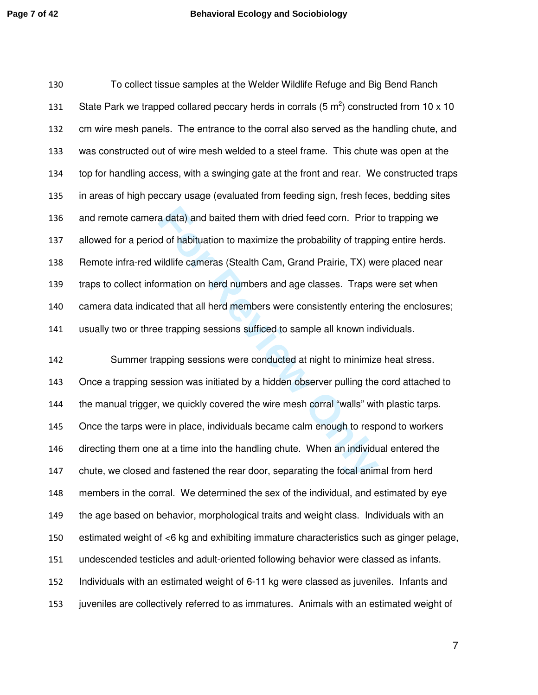To collect tissue samples at the Welder Wildlife Refuge and Big Bend Ranch 131 State Park we trapped collared peccary herds in corrals (5  $m^2$ ) constructed from 10 x 10 cm wire mesh panels. The entrance to the corral also served as the handling chute, and was constructed out of wire mesh welded to a steel frame. This chute was open at the top for handling access, with a swinging gate at the front and rear. We constructed traps in areas of high peccary usage (evaluated from feeding sign, fresh feces, bedding sites and remote camera data) and baited them with dried feed corn. Prior to trapping we allowed for a period of habituation to maximize the probability of trapping entire herds. Remote infra-red wildlife cameras (Stealth Cam, Grand Prairie, TX) were placed near traps to collect information on herd numbers and age classes. Traps were set when camera data indicated that all herd members were consistently entering the enclosures; usually two or three trapping sessions sufficed to sample all known individuals.

a data) and baited them with dried feed corn. Prior in dividuation to maximize the probability of trappivile vil<br>
bilifie cameras (Stealth Cam, Grand Prairie, TX) we<br>
primation on herd numbers and age classes. Traps v<br>
ate Summer trapping sessions were conducted at night to minimize heat stress. Once a trapping session was initiated by a hidden observer pulling the cord attached to the manual trigger, we quickly covered the wire mesh corral "walls" with plastic tarps. Once the tarps were in place, individuals became calm enough to respond to workers directing them one at a time into the handling chute. When an individual entered the chute, we closed and fastened the rear door, separating the focal animal from herd members in the corral. We determined the sex of the individual, and estimated by eye the age based on behavior, morphological traits and weight class. Individuals with an estimated weight of <6 kg and exhibiting immature characteristics such as ginger pelage, undescended testicles and adult-oriented following behavior were classed as infants. Individuals with an estimated weight of 6-11 kg were classed as juveniles. Infants and juveniles are collectively referred to as immatures. Animals with an estimated weight of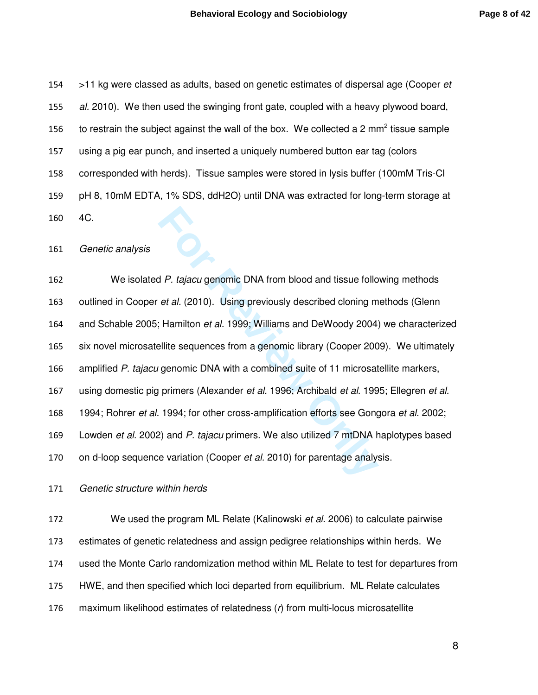154 >11 kg were classed as adults, based on genetic estimates of dispersal age (Cooper et 155 al. 2010). We then used the swinging front gate, coupled with a heavy plywood board, 156 to restrain the subject against the wall of the box. We collected a 2 mm<sup>2</sup> tissue sample 157 using a pig ear punch, and inserted a uniquely numbered button ear tag (colors 158 corresponded with herds). Tissue samples were stored in lysis buffer (100mM Tris-Cl 159 pH 8, 10mM EDTA, 1% SDS, ddH2O) until DNA was extracted for long-term storage at 160 4C.

161 Genetic analysis

**For Review Only** 162 We isolated P. tajacu genomic DNA from blood and tissue following methods 163 outlined in Cooper et al. (2010). Using previously described cloning methods (Glenn 164 and Schable 2005; Hamilton et al. 1999; Williams and DeWoody 2004) we characterized 165 six novel microsatellite sequences from a genomic library (Cooper 2009). We ultimately 166 amplified P. tajacu genomic DNA with a combined suite of 11 microsatellite markers, 167 using domestic pig primers (Alexander et al. 1996; Archibald et al. 1995; Ellegren et al. 168 1994; Rohrer et al. 1994; for other cross-amplification efforts see Gongora et al. 2002; 169 Lowden et al. 2002) and P. tajacu primers. We also utilized 7 mtDNA haplotypes based 170 on d-loop sequence variation (Cooper et al. 2010) for parentage analysis.

171 Genetic structure within herds

172 We used the program ML Relate (Kalinowski *et al.* 2006) to calculate pairwise estimates of genetic relatedness and assign pedigree relationships within herds. We used the Monte Carlo randomization method within ML Relate to test for departures from HWE, and then specified which loci departed from equilibrium. ML Relate calculates  $m$ aximum likelihood estimates of relatedness ( $r$ ) from multi-locus microsatellite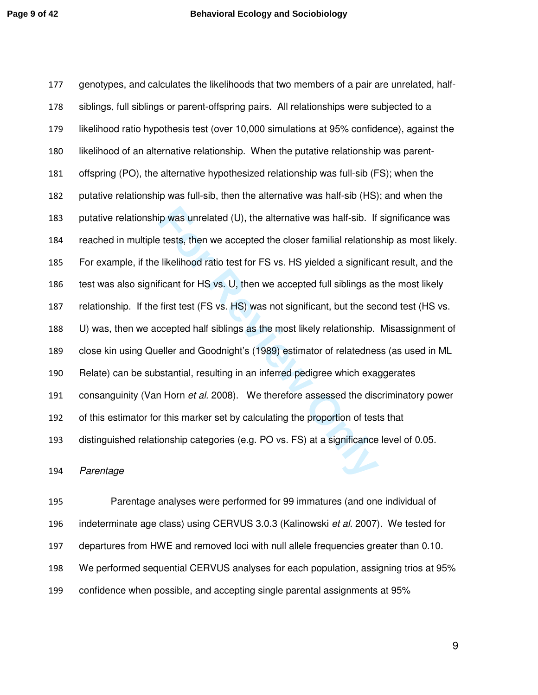ip was unrelated (U), the alternative was half-sib. If<br>the tests, then we accepted the closer familial relations<br>likelihood ratio test for FS vs. HS yielded a significa<br>ficant for HS vs. U, then we accepted full siblings a genotypes, and calculates the likelihoods that two members of a pair are unrelated, half-siblings, full siblings or parent-offspring pairs. All relationships were subjected to a likelihood ratio hypothesis test (over 10,000 simulations at 95% confidence), against the likelihood of an alternative relationship. When the putative relationship was parent-offspring (PO), the alternative hypothesized relationship was full-sib (FS); when the putative relationship was full-sib, then the alternative was half-sib (HS); and when the putative relationship was unrelated (U), the alternative was half-sib. If significance was reached in multiple tests, then we accepted the closer familial relationship as most likely. For example, if the likelihood ratio test for FS vs. HS yielded a significant result, and the 186 test was also significant for HS vs. U, then we accepted full siblings as the most likely relationship. If the first test (FS vs. HS) was not significant, but the second test (HS vs. U) was, then we accepted half siblings as the most likely relationship. Misassignment of close kin using Queller and Goodnight's (1989) estimator of relatedness (as used in ML Relate) can be substantial, resulting in an inferred pedigree which exaggerates 191 consanguinity (Van Horn et al. 2008). We therefore assessed the discriminatory power of this estimator for this marker set by calculating the proportion of tests that distinguished relationship categories (e.g. PO vs. FS) at a significance level of 0.05.

Parentage

Parentage analyses were performed for 99 immatures (and one individual of 196 indeterminate age class) using CERVUS 3.0.3 (Kalinowski *et al.* 2007). We tested for departures from HWE and removed loci with null allele frequencies greater than 0.10. We performed sequential CERVUS analyses for each population, assigning trios at 95% confidence when possible, and accepting single parental assignments at 95%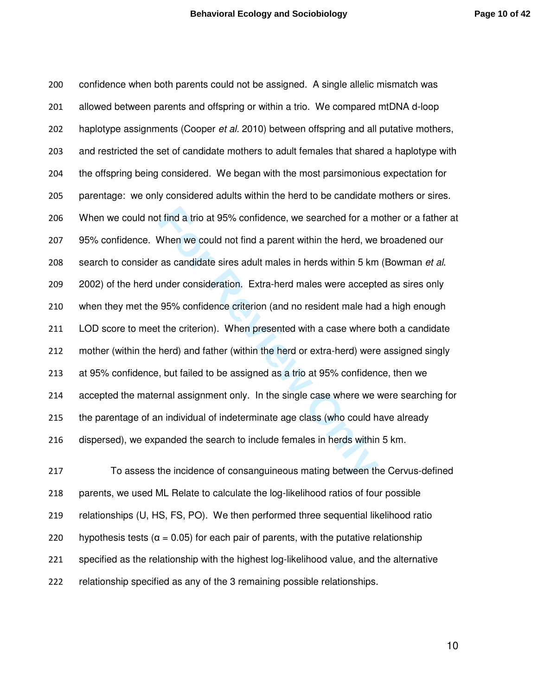It find a trio at 95% confidence, we searched for a m<br>
When we could not find a parent within the herd, we<br>
as candidate sires adult males in herds within 5 km<br>
under consideration. Extra-herd males were accepte<br>
95% confi confidence when both parents could not be assigned. A single allelic mismatch was allowed between parents and offspring or within a trio. We compared mtDNA d-loop 202 haplotype assignments (Cooper *et al.* 2010) between offspring and all putative mothers, and restricted the set of candidate mothers to adult females that shared a haplotype with the offspring being considered. We began with the most parsimonious expectation for parentage: we only considered adults within the herd to be candidate mothers or sires. When we could not find a trio at 95% confidence, we searched for a mother or a father at 95% confidence. When we could not find a parent within the herd, we broadened our 208 search to consider as candidate sires adult males in herds within 5 km (Bowman et al. 2002) of the herd under consideration. Extra-herd males were accepted as sires only when they met the 95% confidence criterion (and no resident male had a high enough LOD score to meet the criterion). When presented with a case where both a candidate mother (within the herd) and father (within the herd or extra-herd) were assigned singly at 95% confidence, but failed to be assigned as a trio at 95% confidence, then we accepted the maternal assignment only. In the single case where we were searching for the parentage of an individual of indeterminate age class (who could have already dispersed), we expanded the search to include females in herds within 5 km.

To assess the incidence of consanguineous mating between the Cervus-defined parents, we used ML Relate to calculate the log-likelihood ratios of four possible relationships (U, HS, FS, PO). We then performed three sequential likelihood ratio 220 hypothesis tests ( $\alpha$  = 0.05) for each pair of parents, with the putative relationship specified as the relationship with the highest log-likelihood value, and the alternative relationship specified as any of the 3 remaining possible relationships.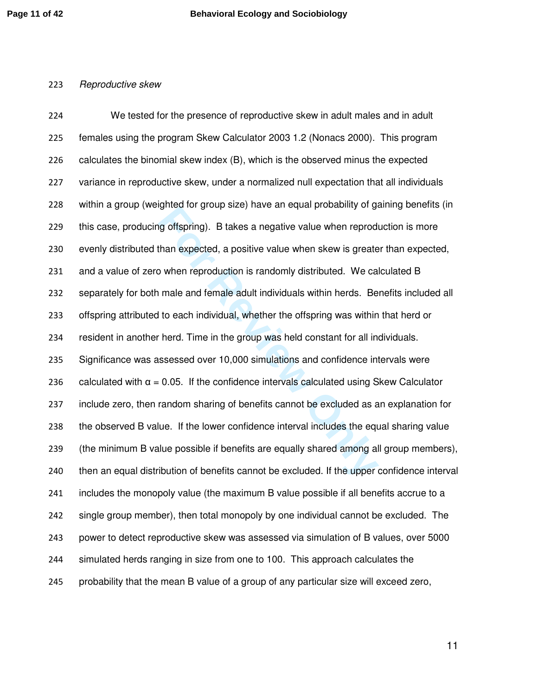#### Reproductive skew

For Form and Sylvan and Cylvan Probability of galaxies and equal probability of galaxies of the property of the property of the expected, a positive value when skew is greated by when reproduction is randomly distributed. We tested for the presence of reproductive skew in adult males and in adult females using the program Skew Calculator 2003 1.2 (Nonacs 2000). This program calculates the binomial skew index (B), which is the observed minus the expected variance in reproductive skew, under a normalized null expectation that all individuals within a group (weighted for group size) have an equal probability of gaining benefits (in this case, producing offspring). B takes a negative value when reproduction is more evenly distributed than expected, a positive value when skew is greater than expected, and a value of zero when reproduction is randomly distributed. We calculated B separately for both male and female adult individuals within herds. Benefits included all offspring attributed to each individual, whether the offspring was within that herd or resident in another herd. Time in the group was held constant for all individuals. Significance was assessed over 10,000 simulations and confidence intervals were 236 calculated with  $\alpha = 0.05$ . If the confidence intervals calculated using Skew Calculator include zero, then random sharing of benefits cannot be excluded as an explanation for the observed B value. If the lower confidence interval includes the equal sharing value (the minimum B value possible if benefits are equally shared among all group members), then an equal distribution of benefits cannot be excluded. If the upper confidence interval includes the monopoly value (the maximum B value possible if all benefits accrue to a single group member), then total monopoly by one individual cannot be excluded. The power to detect reproductive skew was assessed via simulation of B values, over 5000 simulated herds ranging in size from one to 100. This approach calculates the probability that the mean B value of a group of any particular size will exceed zero,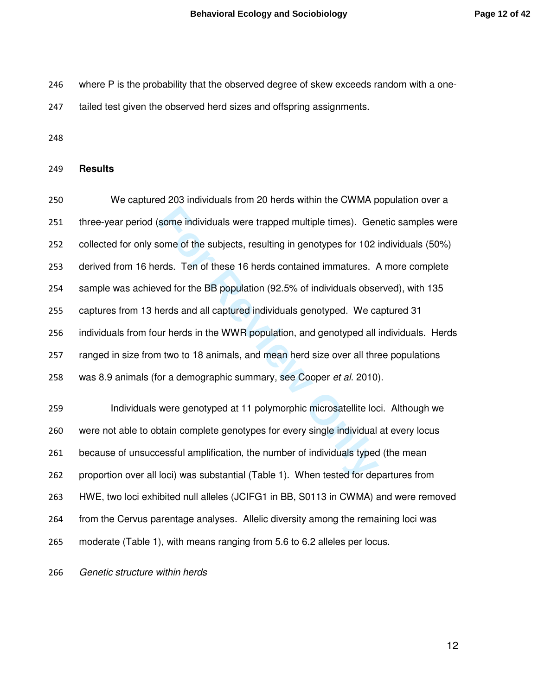where P is the probability that the observed degree of skew exceeds random with a one-

247 tailed test given the observed herd sizes and offspring assignments.

#### **Results**

some individuals were trapped multiple times). Ger<br>
ome of the subjects, resulting in genotypes for 102 i<br>
rds. Ten of these 16 herds contained immatures. *F*<br>
yed for the BB population (92.5% of individuals obse<br>
erds and We captured 203 individuals from 20 herds within the CWMA population over a three-year period (some individuals were trapped multiple times). Genetic samples were collected for only some of the subjects, resulting in genotypes for 102 individuals (50%) derived from 16 herds. Ten of these 16 herds contained immatures. A more complete sample was achieved for the BB population (92.5% of individuals observed), with 135 captures from 13 herds and all captured individuals genotyped. We captured 31 individuals from four herds in the WWR population, and genotyped all individuals. Herds ranged in size from two to 18 animals, and mean herd size over all three populations 258 was 8.9 animals (for a demographic summary, see Cooper et al. 2010).

Individuals were genotyped at 11 polymorphic microsatellite loci. Although we were not able to obtain complete genotypes for every single individual at every locus because of unsuccessful amplification, the number of individuals typed (the mean proportion over all loci) was substantial (Table 1). When tested for departures from HWE, two loci exhibited null alleles (JCIFG1 in BB, S0113 in CWMA) and were removed from the Cervus parentage analyses. Allelic diversity among the remaining loci was moderate (Table 1), with means ranging from 5.6 to 6.2 alleles per locus.

Genetic structure within herds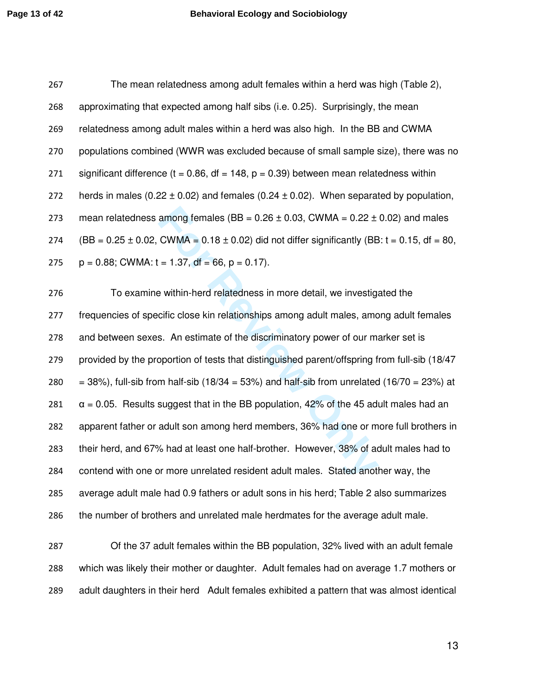| 267 | The mean relatedness among adult females within a herd was high (Table 2),                           |
|-----|------------------------------------------------------------------------------------------------------|
| 268 | approximating that expected among half sibs (i.e. 0.25). Surprisingly, the mean                      |
| 269 | relatedness among adult males within a herd was also high. In the BB and CWMA                        |
| 270 | populations combined (WWR was excluded because of small sample size), there was no                   |
| 271 | significant difference ( $t = 0.86$ , df = 148, $p = 0.39$ ) between mean relatedness within         |
| 272 | herds in males (0.22 $\pm$ 0.02) and females (0.24 $\pm$ 0.02). When separated by population,        |
| 273 | mean relatedness among females ( $BB = 0.26 \pm 0.03$ , CWMA = $0.22 \pm 0.02$ ) and males           |
| 274 | $(BB = 0.25 \pm 0.02$ , CWMA = 0.18 $\pm$ 0.02) did not differ significantly (BB: t = 0.15, df = 80, |
| 275 | $p = 0.88$ ; CWMA: t = 1.37, df = 66, p = 0.17).                                                     |
| 276 | To examine within-herd relatedness in more detail, we investigated the                               |
|     |                                                                                                      |

among females  $(BB = 0.26 \pm 0.03$ , CWMA =  $0.22 \pm$ <br>CWMA =  $0.18 \pm 0.02$ ) did not differ significantly (BB<br>=  $1.37$ , df =  $66$ ,  $p = 0.17$ ).<br>Posithin-herd relatedness in more detail, we investige<br>cific close kin relationships frequencies of specific close kin relationships among adult males, among adult females and between sexes. An estimate of the discriminatory power of our marker set is provided by the proportion of tests that distinguished parent/offspring from full-sib (18/47  $=$  38%), full-sib from half-sib (18/34 = 53%) and half-sib from unrelated (16/70 = 23%) at  $\alpha$  = 0.05. Results suggest that in the BB population, 42% of the 45 adult males had an apparent father or adult son among herd members, 36% had one or more full brothers in their herd, and 67% had at least one half-brother. However, 38% of adult males had to contend with one or more unrelated resident adult males. Stated another way, the average adult male had 0.9 fathers or adult sons in his herd; Table 2 also summarizes the number of brothers and unrelated male herdmates for the average adult male.

Of the 37 adult females within the BB population, 32% lived with an adult female which was likely their mother or daughter. Adult females had on average 1.7 mothers or adult daughters in their herd Adult females exhibited a pattern that was almost identical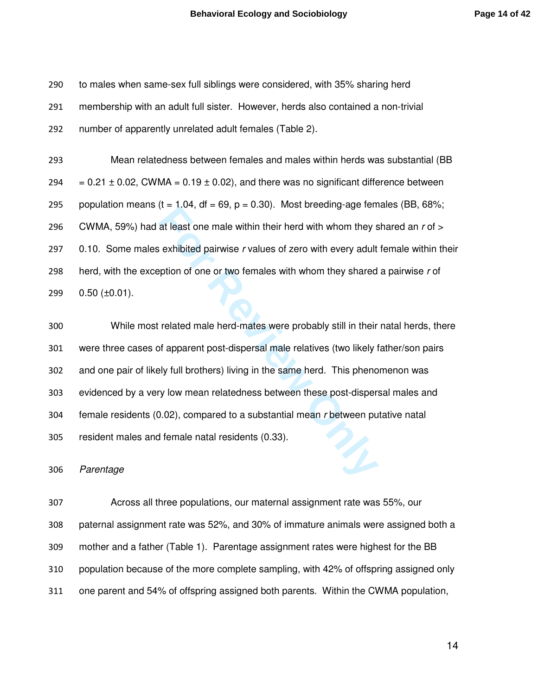to males when same-sex full siblings were considered, with 35% sharing herd membership with an adult full sister. However, herds also contained a non-trivial number of apparently unrelated adult females (Table 2).

Mean relatedness between females and males within herds was substantial (BB 294  $= 0.21 \pm 0.02$ , CWMA  $= 0.19 \pm 0.02$ ), and there was no significant difference between 295 population means (t = 1.04, df = 69, p = 0.30). Most breeding-age females (BB, 68%; 296 CWMA, 59%) had at least one male within their herd with whom they shared an  $r$  of  $>$ 297 0.10. Some males exhibited pairwise r values of zero with every adult female within their 298 herd, with the exception of one or two females with whom they shared a pairwise  $r$  of 0.50 ( $\pm$ 0.01).

 $F(t = 1.54, 6t = 0.5, p = 0.55)$ . Most breeding age ferm<br>at least one male within their herd with whom they s<br>exhibited pairwise r values of zero with every adult<br>pption of one or two females with whom they shared<br>related mal While most related male herd-mates were probably still in their natal herds, there were three cases of apparent post-dispersal male relatives (two likely father/son pairs and one pair of likely full brothers) living in the same herd. This phenomenon was evidenced by a very low mean relatedness between these post-dispersal males and female residents (0.02), compared to a substantial mean r between putative natal resident males and female natal residents (0.33).

Parentage

Across all three populations, our maternal assignment rate was 55%, our paternal assignment rate was 52%, and 30% of immature animals were assigned both a mother and a father (Table 1). Parentage assignment rates were highest for the BB population because of the more complete sampling, with 42% of offspring assigned only one parent and 54% of offspring assigned both parents. Within the CWMA population,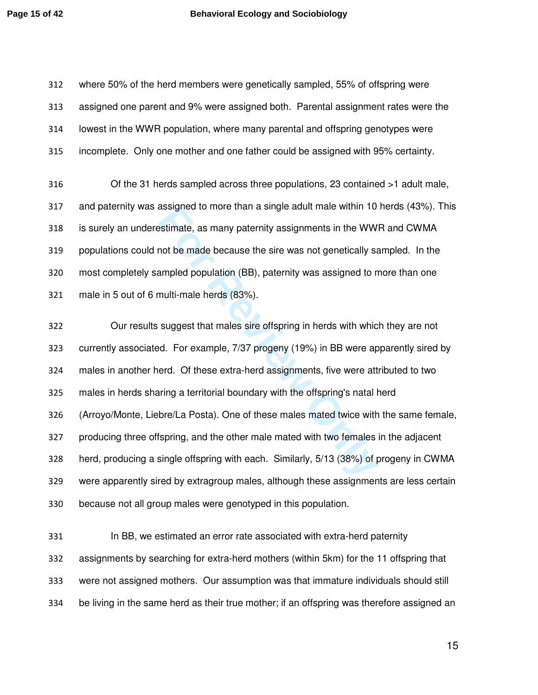where 50% of the herd members were genetically sampled, 55% of offspring were assigned one parent and 9% were assigned both. Parental assignment rates were the lowest in the WWR population, where many parental and offspring genotypes were incomplete. Only one mother and one father could be assigned with 95% certainty.

Of the 31 herds sampled across three populations, 23 contained >1 adult male, and paternity was assigned to more than a single adult male within 10 herds (43%). This is surely an underestimate, as many paternity assignments in the WWR and CWMA populations could not be made because the sire was not genetically sampled. In the most completely sampled population (BB), paternity was assigned to more than one male in 5 out of 6 multi-male herds (83%).

assigned to more than a single adult male within 10<br>**Exampled population** (BB), paternity was assigned to n<br>multi-male herds (83%).<br>**Suppled population** (BB), paternity was assigned to n<br>multi-male herds (83%).<br>**Supples to** Our results suggest that males sire offspring in herds with which they are not currently associated. For example, 7/37 progeny (19%) in BB were apparently sired by males in another herd. Of these extra-herd assignments, five were attributed to two males in herds sharing a territorial boundary with the offspring's natal herd (Arroyo/Monte, Liebre/La Posta). One of these males mated twice with the same female, producing three offspring, and the other male mated with two females in the adjacent herd, producing a single offspring with each. Similarly, 5/13 (38%) of progeny in CWMA were apparently sired by extragroup males, although these assignments are less certain because not all group males were genotyped in this population.

In BB, we estimated an error rate associated with extra-herd paternity assignments by searching for extra-herd mothers (within 5km) for the 11 offspring that were not assigned mothers. Our assumption was that immature individuals should still be living in the same herd as their true mother; if an offspring was therefore assigned an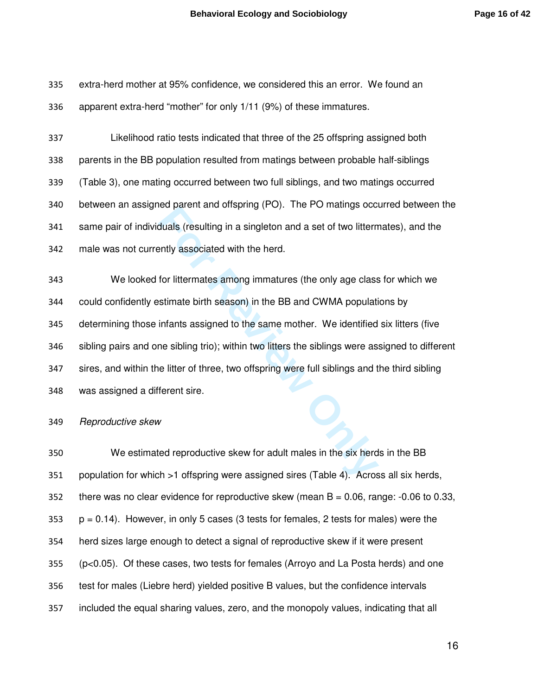extra-herd mother at 95% confidence, we considered this an error. We found an apparent extra-herd "mother" for only 1/11 (9%) of these immatures.

Likelihood ratio tests indicated that three of the 25 offspring assigned both parents in the BB population resulted from matings between probable half-siblings (Table 3), one mating occurred between two full siblings, and two matings occurred between an assigned parent and offspring (PO). The PO matings occurred between the same pair of individuals (resulting in a singleton and a set of two littermates), and the male was not currently associated with the herd.

For Bracht and onspiring (FO). The FO manngs occurred placint and onspiring (FO). The FO manngs occurred<br>duals (resulting in a singleton and a set of two littern<br>or littermates among immatures (the only age class<br>stimate b We looked for littermates among immatures (the only age class for which we could confidently estimate birth season) in the BB and CWMA populations by determining those infants assigned to the same mother. We identified six litters (five sibling pairs and one sibling trio); within two litters the siblings were assigned to different sires, and within the litter of three, two offspring were full siblings and the third sibling was assigned a different sire.

Reproductive skew

We estimated reproductive skew for adult males in the six herds in the BB population for which >1 offspring were assigned sires (Table 4). Across all six herds, there was no clear evidence for reproductive skew (mean B = 0.06, range: -0.06 to 0.33, p = 0.14). However, in only 5 cases (3 tests for females, 2 tests for males) were the herd sizes large enough to detect a signal of reproductive skew if it were present (p<0.05). Of these cases, two tests for females (Arroyo and La Posta herds) and one test for males (Liebre herd) yielded positive B values, but the confidence intervals included the equal sharing values, zero, and the monopoly values, indicating that all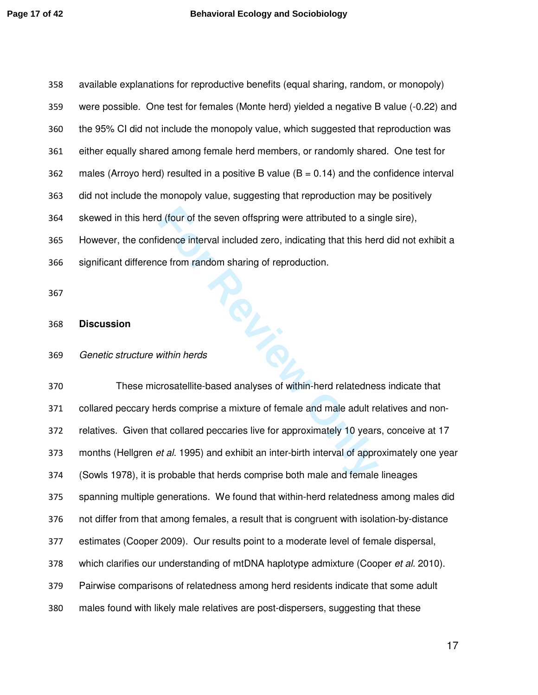**FIRE** available explanations for reproductive benefits (equal sharing, random, or monopoly) were possible. One test for females (Monte herd) yielded a negative B value (-0.22) and the 95% CI did not include the monopoly value, which suggested that reproduction was either equally shared among female herd members, or randomly shared. One test for 362 males (Arroyo herd) resulted in a positive B value ( $B = 0.14$ ) and the confidence interval did not include the monopoly value, suggesting that reproduction may be positively skewed in this herd (four of the seven offspring were attributed to a single sire), However, the confidence interval included zero, indicating that this herd did not exhibit a significant difference from random sharing of reproduction.

#### **Discussion**

#### Genetic structure within herds

These microsatellite-based analyses of within-herd relatedness indicate that collared peccary herds comprise a mixture of female and male adult relatives and non-relatives. Given that collared peccaries live for approximately 10 years, conceive at 17 373 months (Hellgren et al. 1995) and exhibit an inter-birth interval of approximately one year (Sowls 1978), it is probable that herds comprise both male and female lineages spanning multiple generations. We found that within-herd relatedness among males did not differ from that among females, a result that is congruent with isolation-by-distance estimates (Cooper 2009). Our results point to a moderate level of female dispersal, 378 which clarifies our understanding of mtDNA haplotype admixture (Cooper et al. 2010). Pairwise comparisons of relatedness among herd residents indicate that some adult males found with likely male relatives are post-dispersers, suggesting that these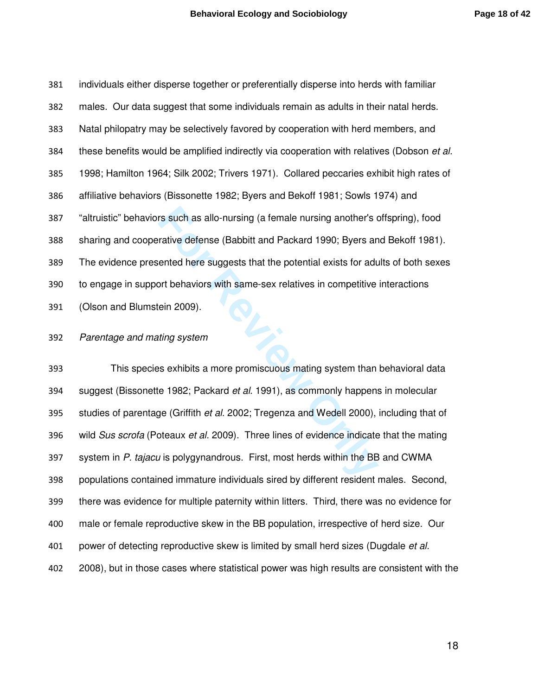individuals either disperse together or preferentially disperse into herds with familiar males. Our data suggest that some individuals remain as adults in their natal herds. Natal philopatry may be selectively favored by cooperation with herd members, and 384 these benefits would be amplified indirectly via cooperation with relatives (Dobson et al. 1998; Hamilton 1964; Silk 2002; Trivers 1971). Collared peccaries exhibit high rates of affiliative behaviors (Bissonette 1982; Byers and Bekoff 1981; Sowls 1974) and "altruistic" behaviors such as allo-nursing (a female nursing another's offspring), food sharing and cooperative defense (Babbitt and Packard 1990; Byers and Bekoff 1981). The evidence presented here suggests that the potential exists for adults of both sexes to engage in support behaviors with same-sex relatives in competitive interactions (Olson and Blumstein 2009).

#### Parentage and mating system

For Such as allo-nursing (a female nursing another's counter-<br>
For Fortive defense (Babbitt and Packard 1990; Byers and<br>
Fortical exists for add<br>
pother Bordon and the potential exists for add<br>
pother Bordon and the potent This species exhibits a more promiscuous mating system than behavioral data 394 suggest (Bissonette 1982; Packard et al. 1991), as commonly happens in molecular 395 studies of parentage (Griffith *et al.* 2002; Tregenza and Wedell 2000), including that of 396 wild Sus scrofa (Poteaux et al. 2009). Three lines of evidence indicate that the mating 397 system in P. tajacu is polygynandrous. First, most herds within the BB and CWMA populations contained immature individuals sired by different resident males. Second, there was evidence for multiple paternity within litters. Third, there was no evidence for male or female reproductive skew in the BB population, irrespective of herd size. Our 401 power of detecting reproductive skew is limited by small herd sizes (Dugdale *et al.*) 2008), but in those cases where statistical power was high results are consistent with the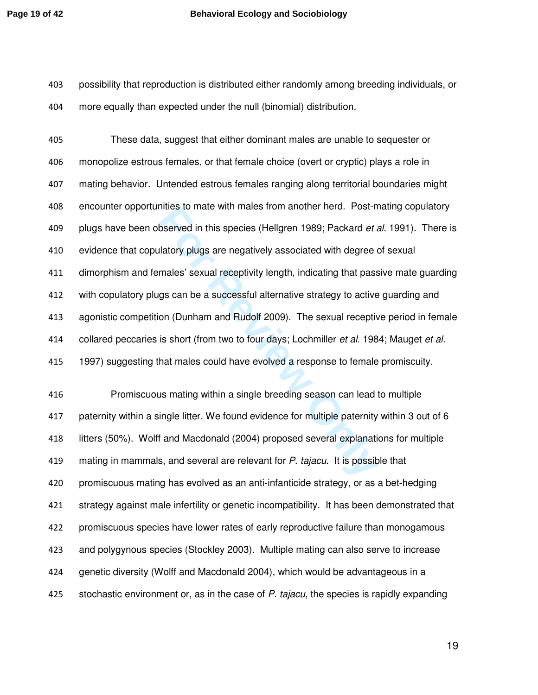possibility that reproduction is distributed either randomly among breeding individuals, or more equally than expected under the null (binomial) distribution.

Finles to mate with mates from another field. Post-fit<br>bserved in this species (Hellgren 1989; Packard *et a*<br>latory plugs are negatively associated with degree *c*<br>males' sexual receptivity length, indicating that pass<br>gs These data, suggest that either dominant males are unable to sequester or monopolize estrous females, or that female choice (overt or cryptic) plays a role in mating behavior. Untended estrous females ranging along territorial boundaries might encounter opportunities to mate with males from another herd. Post-mating copulatory 409 plugs have been observed in this species (Hellgren 1989; Packard *et al.* 1991). There is evidence that copulatory plugs are negatively associated with degree of sexual dimorphism and females' sexual receptivity length, indicating that passive mate guarding with copulatory plugs can be a successful alternative strategy to active guarding and agonistic competition (Dunham and Rudolf 2009). The sexual receptive period in female 414 collared peccaries is short (from two to four days; Lochmiller *et al.* 1984; Mauget *et al.* 1997) suggesting that males could have evolved a response to female promiscuity.

Promiscuous mating within a single breeding season can lead to multiple paternity within a single litter. We found evidence for multiple paternity within 3 out of 6 litters (50%). Wolff and Macdonald (2004) proposed several explanations for multiple 419 mating in mammals, and several are relevant for P. tajacu. It is possible that promiscuous mating has evolved as an anti-infanticide strategy, or as a bet-hedging strategy against male infertility or genetic incompatibility. It has been demonstrated that promiscuous species have lower rates of early reproductive failure than monogamous and polygynous species (Stockley 2003). Multiple mating can also serve to increase genetic diversity (Wolff and Macdonald 2004), which would be advantageous in a 425 stochastic environment or, as in the case of P. tajacu, the species is rapidly expanding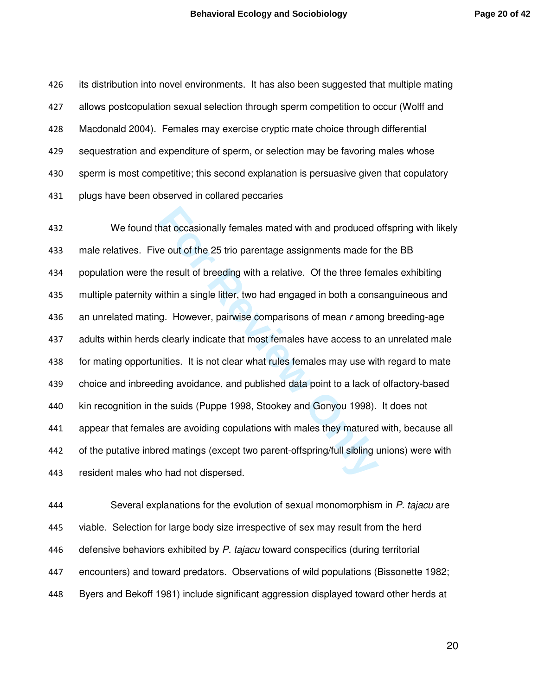its distribution into novel environments. It has also been suggested that multiple mating allows postcopulation sexual selection through sperm competition to occur (Wolff and Macdonald 2004). Females may exercise cryptic mate choice through differential sequestration and expenditure of sperm, or selection may be favoring males whose sperm is most competitive; this second explanation is persuasive given that copulatory plugs have been observed in collared peccaries

that occasionally females mated with and produced or e out of the 25 trio parentage assignments made for e result of breeding with a relative. Of the three fem vithin a single litter, two had engaged in both a cons<br>g. Howe We found that occasionally females mated with and produced offspring with likely 433 male relatives. Five out of the 25 trio parentage assignments made for the BB population were the result of breeding with a relative. Of the three females exhibiting multiple paternity within a single litter, two had engaged in both a consanguineous and 436 an unrelated mating. However, pairwise comparisons of mean r among breeding-age adults within herds clearly indicate that most females have access to an unrelated male for mating opportunities. It is not clear what rules females may use with regard to mate choice and inbreeding avoidance, and published data point to a lack of olfactory-based kin recognition in the suids (Puppe 1998, Stookey and Gonyou 1998). It does not appear that females are avoiding copulations with males they matured with, because all of the putative inbred matings (except two parent-offspring/full sibling unions) were with resident males who had not dispersed.

444 Several explanations for the evolution of sexual monomorphism in P. tajacu are viable. Selection for large body size irrespective of sex may result from the herd 446 defensive behaviors exhibited by P. tajacu toward conspecifics (during territorial encounters) and toward predators. Observations of wild populations (Bissonette 1982; Byers and Bekoff 1981) include significant aggression displayed toward other herds at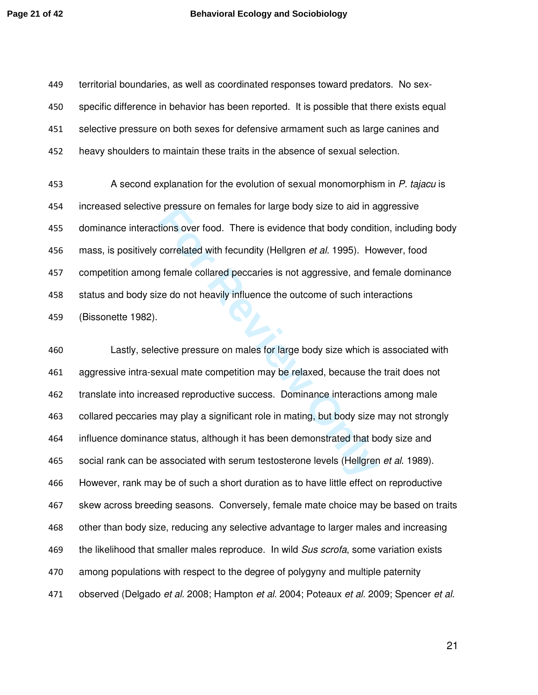territorial boundaries, as well as coordinated responses toward predators. No sex-specific difference in behavior has been reported. It is possible that there exists equal selective pressure on both sexes for defensive armament such as large canines and heavy shoulders to maintain these traits in the absence of sexual selection.

453 A second explanation for the evolution of sexual monomorphism in P. tajacu is increased selective pressure on females for large body size to aid in aggressive dominance interactions over food. There is evidence that body condition, including body 456 mass, is positively correlated with fecundity (Hellgren et al. 1995). However, food competition among female collared peccaries is not aggressive, and female dominance status and body size do not heavily influence the outcome of such interactions (Bissonette 1982).

For Pressure on lemates for large body size to ald in a<br>tions over food. There is evidence that body conditi<br>correlated with fecundity (Hellgren *et al.* 1995). Hoy<br>female collared peccaries is not aggressive, and fe<br>ze do Lastly, selective pressure on males for large body size which is associated with aggressive intra-sexual mate competition may be relaxed, because the trait does not translate into increased reproductive success. Dominance interactions among male collared peccaries may play a significant role in mating, but body size may not strongly influence dominance status, although it has been demonstrated that body size and 465 social rank can be associated with serum testosterone levels (Hellgren et al. 1989). However, rank may be of such a short duration as to have little effect on reproductive skew across breeding seasons. Conversely, female mate choice may be based on traits other than body size, reducing any selective advantage to larger males and increasing 469 the likelihood that smaller males reproduce. In wild Sus scrofa, some variation exists among populations with respect to the degree of polygyny and multiple paternity 471 observed (Delgado et al. 2008; Hampton et al. 2004; Poteaux et al. 2009; Spencer et al.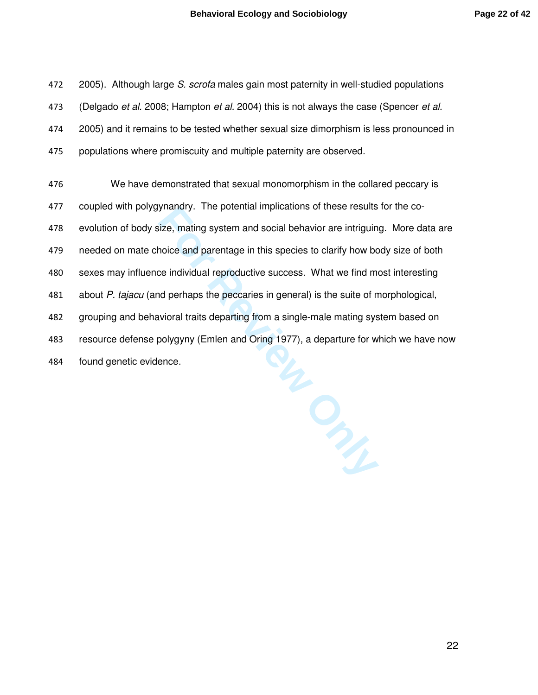472 2005). Although large S. scrofa males gain most paternity in well-studied populations 473 (Delgado et al. 2008; Hampton et al. 2004) this is not always the case (Spencer et al. 2005) and it remains to be tested whether sexual size dimorphism is less pronounced in populations where promiscuity and multiple paternity are observed.

We have demonstrated that sexual monomorphism in the collared peccary is coupled with polygynandry. The potential implications of these results for the co-evolution of body size, mating system and social behavior are intriguing. More data are needed on mate choice and parentage in this species to clarify how body size of both sexes may influence individual reproductive success. What we find most interesting 481 about P. tajacu (and perhaps the peccaries in general) is the suite of morphological, grouping and behavioral traits departing from a single-male mating system based on resource defense polygyny (Emlen and Oring 1977), a departure for which we have now found genetic evidence.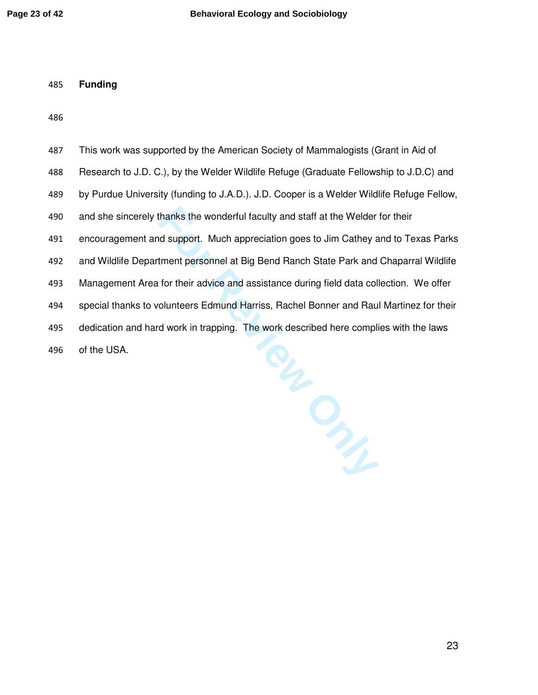**Funding** 

| 487 | This work was supported by the American Society of Mammalogists (Grant in Aid of          |
|-----|-------------------------------------------------------------------------------------------|
| 488 | Research to J.D. C.), by the Welder Wildlife Refuge (Graduate Fellowship to J.D.C) and    |
| 489 | by Purdue University (funding to J.A.D.). J.D. Cooper is a Welder Wildlife Refuge Fellow, |
| 490 | and she sincerely thanks the wonderful faculty and staff at the Welder for their          |
| 491 | encouragement and support. Much appreciation goes to Jim Cathey and to Texas Parks        |
| 492 | and Wildlife Department personnel at Big Bend Ranch State Park and Chaparral Wildlife     |
| 493 | Management Area for their advice and assistance during field data collection. We offer    |
| 494 | special thanks to volunteers Edmund Harriss, Rachel Bonner and Raul Martinez for their    |
| 495 | dedication and hard work in trapping. The work described here complies with the laws      |
| 496 | of the USA.                                                                               |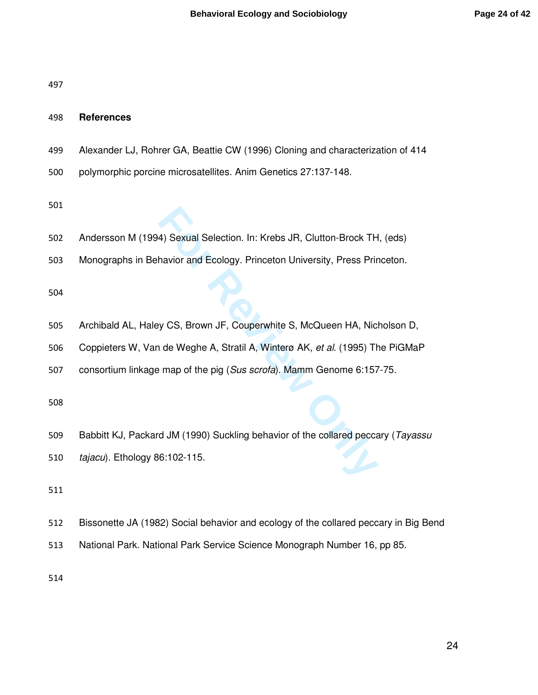### **References**

- Alexander LJ, Rohrer GA, Beattie CW (1996) Cloning and characterization of 414
- polymorphic porcine microsatellites. Anim Genetics 27:137-148.
- 
- 4) Sexual Selection. In: Krebs JR, Clutton-Brock TH<br>havior and Ecology. Princeton University, Press Princeton<br>Julies S. McQueen HA, Nich<br>in de Weghe A, Stratil A, Winterø AK, *et al.* (1995) The<br>map of the pig (*Sus scrofa* Andersson M (1994) Sexual Selection. In: Krebs JR, Clutton-Brock TH, (eds)
- Monographs in Behavior and Ecology. Princeton University, Press Princeton.

- Archibald AL, Haley CS, Brown JF, Couperwhite S, McQueen HA, Nicholson D,
- Coppieters W, Van de Weghe A, Stratil A, Winterø AK, et al. (1995) The PiGMaP
- 507 consortium linkage map of the pig (Sus scrofa). Mamm Genome 6:157-75.

- 509 Babbitt KJ, Packard JM (1990) Suckling behavior of the collared peccary (Tayassu
- *tajacu*). Ethology 86:102-115.
- 
- Bissonette JA (1982) Social behavior and ecology of the collared peccary in Big Bend
- National Park. National Park Service Science Monograph Number 16, pp 85.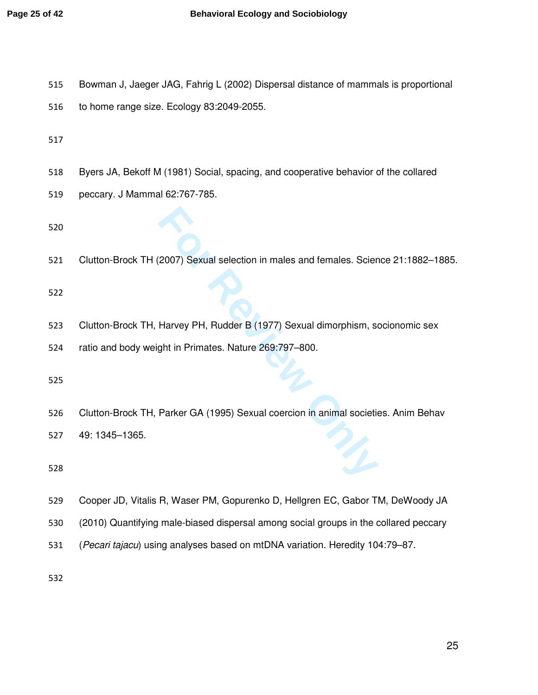- Bowman J, Jaeger JAG, Fahrig L (2002) Dispersal distance of mammals is proportional
- to home range size. Ecology 83:2049-2055.

- Byers JA, Bekoff M (1981) Social, spacing, and cooperative behavior of the collared
- peccary. J Mammal 62:767-785.

**Formal Selection in males and females. Scientify the Harvey PH, Rudder B (1977) Sexual dimorphism, so<br>For Array PH, Rudder B (1977) Sexual dimorphism, so<br>the in Primates. Nature 269:797–800.<br>Parker GA (1995) Sexual coerci** Clutton-Brock TH (2007) Sexual selection in males and females. Science 21:1882–1885.

- Clutton-Brock TH, Harvey PH, Rudder B (1977) Sexual dimorphism, socionomic sex
- ratio and body weight in Primates. Nature 269:797–800.

- Clutton-Brock TH, Parker GA (1995) Sexual coercion in animal societies. Anim Behav
- 49: 1345–1365.

- Cooper JD, Vitalis R, Waser PM, Gopurenko D, Hellgren EC, Gabor TM, DeWoody JA
- (2010) Quantifying male-biased dispersal among social groups in the collared peccary
- (Pecari tajacu) using analyses based on mtDNA variation. Heredity 104:79–87.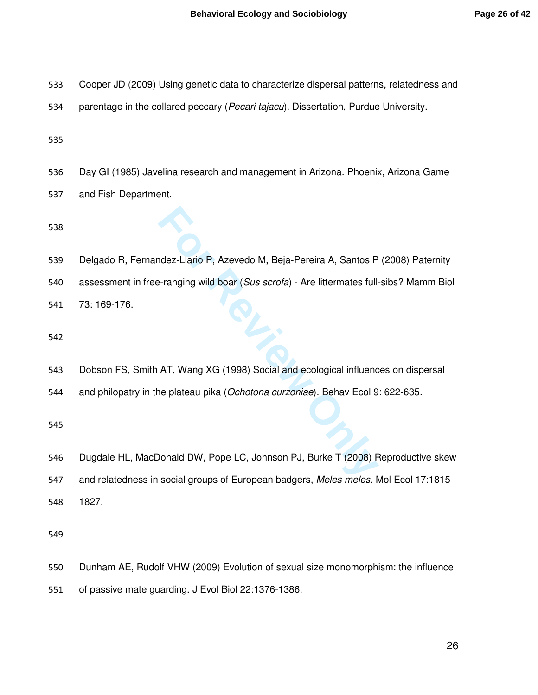- Cooper JD (2009) Using genetic data to characterize dispersal patterns, relatedness and
- 534 parentage in the collared peccary (Pecari tajacu). Dissertation, Purdue University.

Day GI (1985) Javelina research and management in Arizona. Phoenix, Arizona Game

and Fish Department.

Macker Llario P, Azevedo M, Beja-Pereira A, Santos P<br>
Franging wild boar (*Sus scrofa*) - Are littermates full<br>
AT, Wang XG (1998) Social and ecological influence<br>
plateau pika (*Ochotona curzoniae*). Behav Ecol 9<br>
Ponald Delgado R, Fernandez-Llario P, Azevedo M, Beja-Pereira A, Santos P (2008) Paternity 540 assessment in free-ranging wild boar (Sus scrofa) - Are littermates full-sibs? Mamm Biol

73: 169-176.

- Dobson FS, Smith AT, Wang XG (1998) Social and ecological influences on dispersal
- 544 and philopatry in the plateau pika (Ochotona curzoniae). Behav Ecol 9: 622-635.

Dugdale HL, MacDonald DW, Pope LC, Johnson PJ, Burke T (2008) Reproductive skew 547 and relatedness in social groups of European badgers, Meles meles. Mol Ecol 17:1815-1827.

Dunham AE, Rudolf VHW (2009) Evolution of sexual size monomorphism: the influence of passive mate guarding. J Evol Biol 22:1376-1386.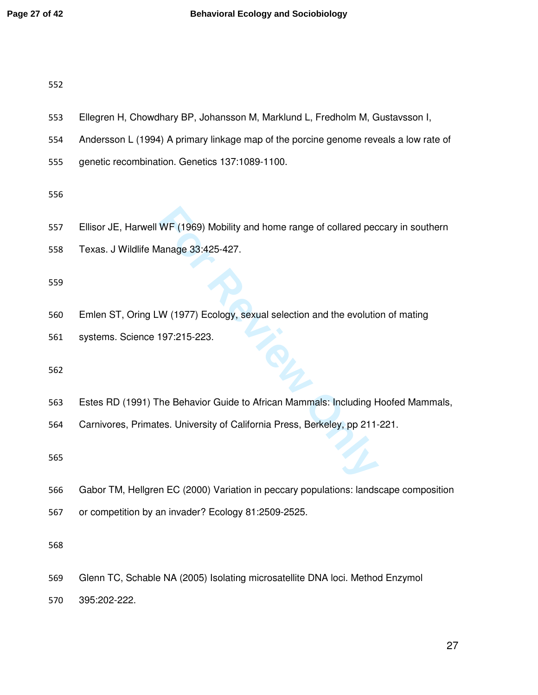- Ellegren H, Chowdhary BP, Johansson M, Marklund L, Fredholm M, Gustavsson I,
- Andersson L (1994) A primary linkage map of the porcine genome reveals a low rate of
- genetic recombination. Genetics 137:1089-1100.

- Ellisor JE, Harwell WF (1969) Mobility and home range of collared peccary in southern
- Texas. J Wildlife Manage 33:425-427.

- WF (1969) Mobility and home range of collared pec<br>
Ianage 33:425-427.<br>
W (1977) Ecology, sexual selection and the evolutic<br>
197:215-223.<br>
The Behavior Guide to African Mammals: Including Figures. University of California P Emlen ST, Oring LW (1977) Ecology, sexual selection and the evolution of mating
- systems. Science 197:215-223.

Estes RD (1991) The Behavior Guide to African Mammals: Including Hoofed Mammals,

Carnivores, Primates. University of California Press, Berkeley, pp 211-221.

- Gabor TM, Hellgren EC (2000) Variation in peccary populations: landscape composition
- or competition by an invader? Ecology 81:2509-2525.

- Glenn TC, Schable NA (2005) Isolating microsatellite DNA loci. Method Enzymol
- 395:202-222.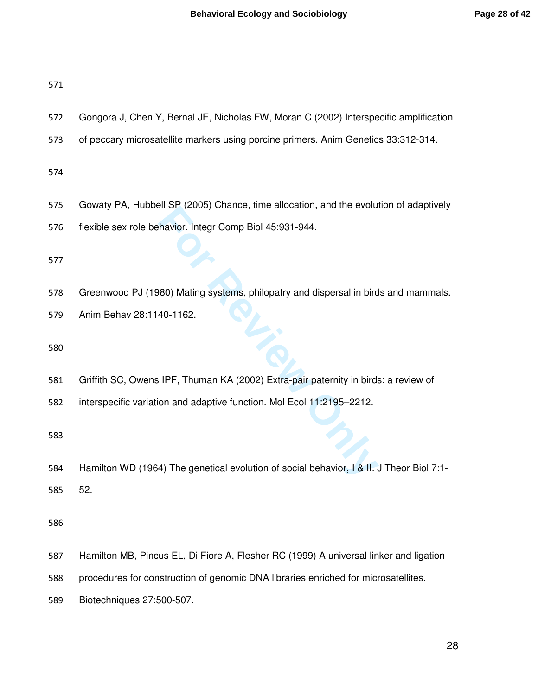- Gongora J, Chen Y, Bernal JE, Nicholas FW, Moran C (2002) Interspecific amplification
- of peccary microsatellite markers using porcine primers. Anim Genetics 33:312-314.

- Gowaty PA, Hubbell SP (2005) Chance, time allocation, and the evolution of adaptively
- flexible sex role behavior. Integr Comp Biol 45:931-944.

Greenwood PJ (1980) Mating systems, philopatry and dispersal in birds and mammals.

Anim Behav 28:1140-1162.

- Griffith SC, Owens IPF, Thuman KA (2002) Extra-pair paternity in birds: a review of
- interspecific variation and adaptive function. Mol Ecol 11:2195–2212.

For Revised Coose, United States, the anotation, and the evolution.<br> **For Revised Alternative States Alternative States Alternative States Alternative States Alternative States Alternative Incrementation<br>
<b>For Revised Alte** Hamilton WD (1964) The genetical evolution of social behavior, I & II. J Theor Biol 7:1- 52.

- Hamilton MB, Pincus EL, Di Fiore A, Flesher RC (1999) A universal linker and ligation
- procedures for construction of genomic DNA libraries enriched for microsatellites.
- Biotechniques 27:500-507.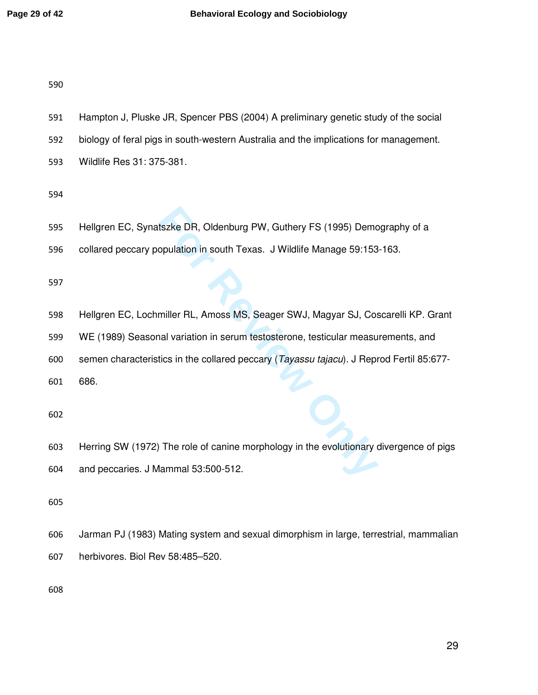- Hampton J, Pluske JR, Spencer PBS (2004) A preliminary genetic study of the social
- biology of feral pigs in south-western Australia and the implications for management.
- Wildlife Res 31: 375-381.

- Hellgren EC, Synatszke DR, Oldenburg PW, Guthery FS (1995) Demography of a
- collared peccary population in south Texas. J Wildlife Manage 59:153-163.

- Hellgren EC, Lochmiller RL, Amoss MS, Seager SWJ, Magyar SJ, Coscarelli KP. Grant
- WE (1989) Seasonal variation in serum testosterone, testicular measurements, and
- semen characteristics in the collared peccary (Tayassu tajacu). J Reprod Fertil 85:677-

686.

tszke DR, Oldenburg PW, Guthery FS (1995) Demo<br>
opulation in south Texas. J Wildlife Manage 59:153<br>
miller RL, Amoss MS, Seager SWJ, Magyar SJ, Cos<br>
nal variation in serum testosterone, testicular measu<br>
tics in the collar Herring SW (1972) The role of canine morphology in the evolutionary divergence of pigs and peccaries. J Mammal 53:500-512.

- Jarman PJ (1983) Mating system and sexual dimorphism in large, terrestrial, mammalian
- herbivores. Biol Rev 58:485–520.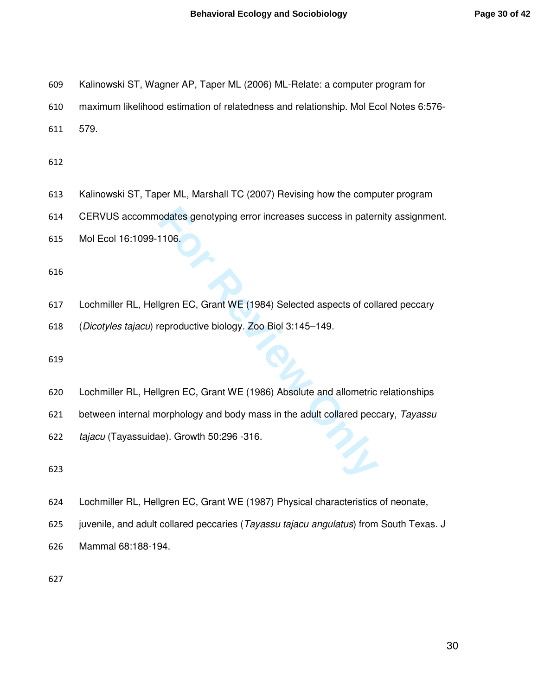- Kalinowski ST, Wagner AP, Taper ML (2006) ML-Relate: a computer program for
- maximum likelihood estimation of relatedness and relationship. Mol Ecol Notes 6:576-
- 579.

- Kalinowski ST, Taper ML, Marshall TC (2007) Revising how the computer program
- CERVUS accommodates genotyping error increases success in paternity assignment.
- Mol Ecol 16:1099-1106.

- odates genotyping error increases success in pater<br>
1106.<br>
Igren EC, Grant WE (1984) Selected aspects of coll<br>
Ferroductive biology. Zoo Biol 3:145–149.<br>
Igren EC, Grant WE (1986) Absolute and allometric<br>
Igren EC, Grant W Lochmiller RL, Hellgren EC, Grant WE (1984) Selected aspects of collared peccary
- (Dicotyles tajacu) reproductive biology. Zoo Biol 3:145–149.

- Lochmiller RL, Hellgren EC, Grant WE (1986) Absolute and allometric relationships
- 621 between internal morphology and body mass in the adult collared peccary, Tayassu
- tajacu (Tayassuidae). Growth 50:296 -316.

- Lochmiller RL, Hellgren EC, Grant WE (1987) Physical characteristics of neonate,
- 625 juvenile, and adult collared peccaries (Tayassu tajacu angulatus) from South Texas. J
- Mammal 68:188-194.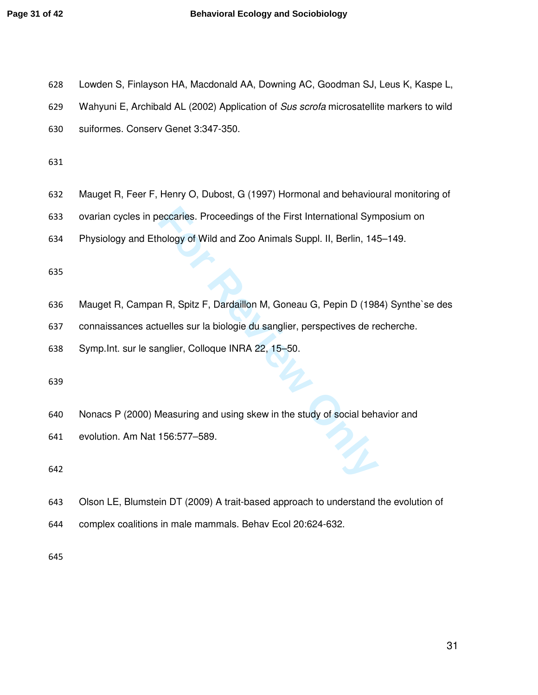| 628 | Lowden S, Finlayson HA, Macdonald AA, Downing AC, Goodman SJ, Leus K, Kaspe L,          |
|-----|-----------------------------------------------------------------------------------------|
| 629 | Wahyuni E, Archibald AL (2002) Application of Sus scrofa microsatellite markers to wild |
| 630 | suiformes. Conserv Genet 3:347-350.                                                     |
| 631 |                                                                                         |
| 632 | Mauget R, Feer F, Henry O, Dubost, G (1997) Hormonal and behavioural monitoring of      |
| 633 | ovarian cycles in peccaries. Proceedings of the First International Symposium on        |
| 634 | Physiology and Ethology of Wild and Zoo Animals Suppl. II, Berlin, 145-149.             |
| 635 |                                                                                         |
| 636 | Mauget R, Campan R, Spitz F, Dardaillon M, Goneau G, Pepin D (1984) Synthe'se des       |
| 637 | connaissances actuelles sur la biologie du sanglier, perspectives de recherche.         |
| 638 | Symp. Int. sur le sanglier, Colloque INRA 22, 15-50.                                    |
| 639 |                                                                                         |
| 640 | Nonacs P (2000) Measuring and using skew in the study of social behavior and            |
| 641 | evolution. Am Nat 156:577-589.                                                          |
| 642 |                                                                                         |
| 643 | Olson LE, Blumstein DT (2009) A trait-based approach to understand the evolution of     |
| 644 | complex coalitions in male mammals. Behav Ecol 20:624-632.                              |
| 645 |                                                                                         |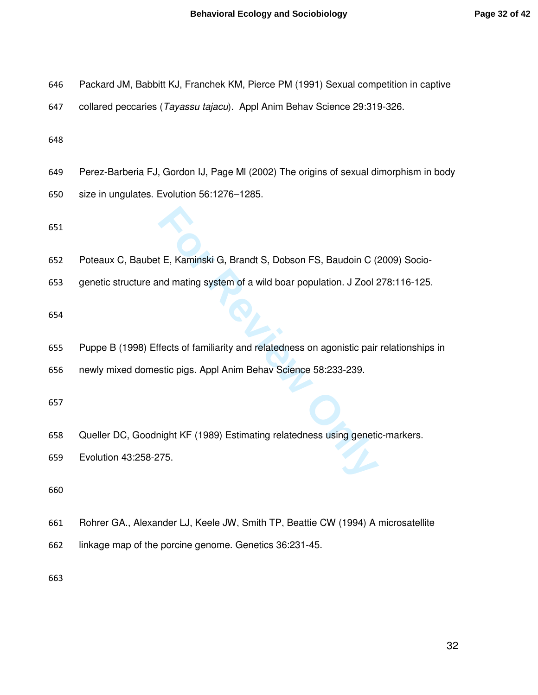- Packard JM, Babbitt KJ, Franchek KM, Pierce PM (1991) Sexual competition in captive
- collared peccaries (Tayassu tajacu). Appl Anim Behav Science 29:319-326.

- Perez-Barberia FJ, Gordon IJ, Page Ml (2002) The origins of sexual dimorphism in body
- size in ungulates. Evolution 56:1276–1285.

- **F.** Kaminski G, Brandt S, Dobson FS, Baudoin C (and mating system of a wild boar population. J Zool 2<br>
fects of familiarity and relatedness on agonistic pair<br>
stic pigs. Appl Anim Behav Science 58:233-239.<br>
<br>
Anight KF (1 Poteaux C, Baubet E, Kaminski G, Brandt S, Dobson FS, Baudoin C (2009) Socio-
- genetic structure and mating system of a wild boar population. J Zool 278:116-125.

- Puppe B (1998) Effects of familiarity and relatedness on agonistic pair relationships in
- newly mixed domestic pigs. Appl Anim Behav Science 58:233-239.

- Queller DC, Goodnight KF (1989) Estimating relatedness using genetic-markers.
- Evolution 43:258-275.

- Rohrer GA., Alexander LJ, Keele JW, Smith TP, Beattie CW (1994) A microsatellite
- linkage map of the porcine genome. Genetics 36:231-45.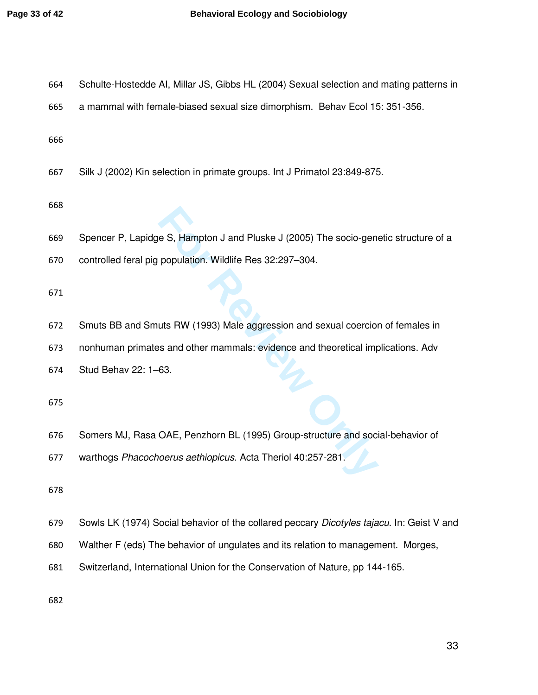| 664 | Schulte-Hostedde AI, Millar JS, Gibbs HL (2004) Sexual selection and mating patterns in           |
|-----|---------------------------------------------------------------------------------------------------|
| 665 | a mammal with female-biased sexual size dimorphism. Behav Ecol 15: 351-356.                       |
| 666 |                                                                                                   |
| 667 | Silk J (2002) Kin selection in primate groups. Int J Primatol 23:849-875.                         |
| 668 |                                                                                                   |
| 669 | Spencer P, Lapidge S, Hampton J and Pluske J (2005) The socio-genetic structure of a              |
| 670 | controlled feral pig population. Wildlife Res 32:297-304.                                         |
| 671 |                                                                                                   |
| 672 | Smuts BB and Smuts RW (1993) Male aggression and sexual coercion of females in                    |
| 673 | nonhuman primates and other mammals: evidence and theoretical implications. Adv                   |
| 674 | Stud Behav 22: 1-63.                                                                              |
| 675 |                                                                                                   |
| 676 | Somers MJ, Rasa OAE, Penzhorn BL (1995) Group-structure and social-behavior of                    |
| 677 | warthogs Phacochoerus aethiopicus. Acta Theriol 40:257-281.                                       |
| 678 |                                                                                                   |
| 679 | Sowls LK (1974) Social behavior of the collared peccary <i>Dicotyles tajacu</i> . In: Geist V and |
| 680 | Walther F (eds) The behavior of ungulates and its relation to management. Morges,                 |
| 681 | Switzerland, International Union for the Conservation of Nature, pp 144-165.                      |
|     |                                                                                                   |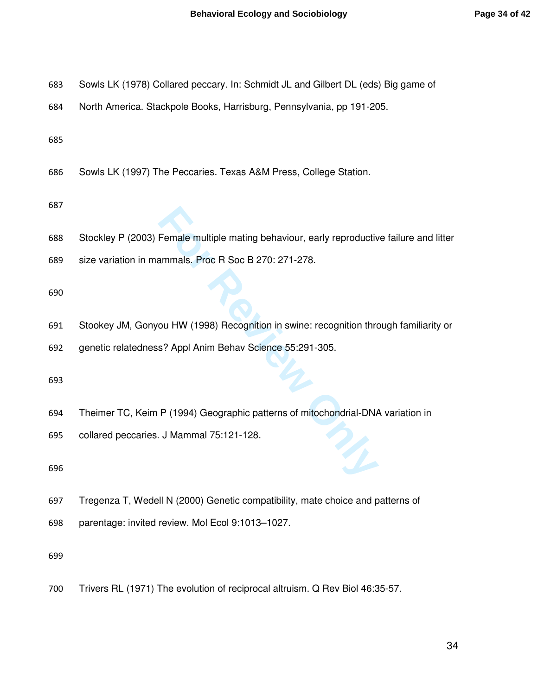- Sowls LK (1978) Collared peccary. In: Schmidt JL and Gilbert DL (eds) Big game of
- North America. Stackpole Books, Harrisburg, Pennsylvania, pp 191-205.

Sowls LK (1997) The Peccaries. Texas A&M Press, College Station.

#### 

- Female multiple mating behaviour, early reproductive<br>
ammals. Proc R Soc B 270: 271-278.<br>
ou HW (1998) Recognition in swine: recognition throw<br>
s? Appl Anim Behav Science 55:291-305.<br>
P (1994) Geographic patterns of mitoch Stockley P (2003) Female multiple mating behaviour, early reproductive failure and litter
- size variation in mammals. Proc R Soc B 270: 271-278.

- Stookey JM, Gonyou HW (1998) Recognition in swine: recognition through familiarity or
- genetic relatedness? Appl Anim Behav Science 55:291-305.

- Theimer TC, Keim P (1994) Geographic patterns of mitochondrial-DNA variation in
- collared peccaries. J Mammal 75:121-128.

Tregenza T, Wedell N (2000) Genetic compatibility, mate choice and patterns of

parentage: invited review. Mol Ecol 9:1013–1027.

Trivers RL (1971) The evolution of reciprocal altruism. Q Rev Biol 46:35-57.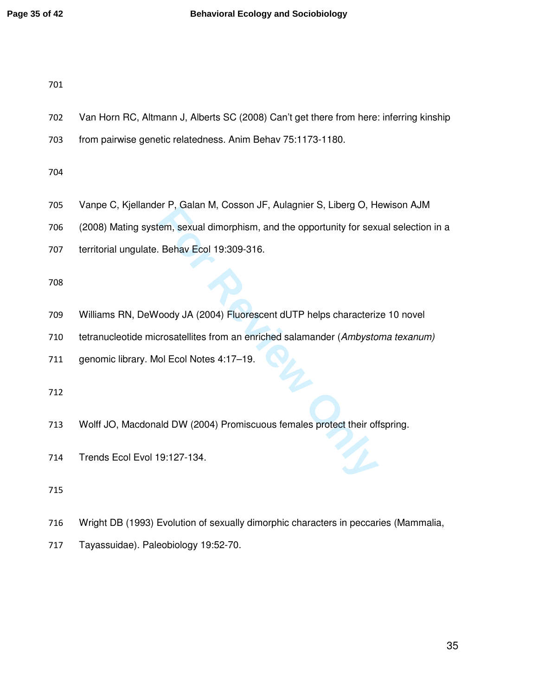- Van Horn RC, Altmann J, Alberts SC (2008) Can't get there from here: inferring kinship
- from pairwise genetic relatedness. Anim Behav 75:1173-1180.

- Vanpe C, Kjellander P, Galan M, Cosson JF, Aulagnier S, Liberg O, Hewison AJM
- (2008) Mating system, sexual dimorphism, and the opportunity for sexual selection in a
- territorial ungulate. Behav Ecol 19:309-316.

- **For F, Calari M, Cossoli Jr, Adiagnier 3, Liberg O, Findmy, Liberal Affection**, and the opportunity for sexi<br> **For Review Ecol 19:309-316.**<br> **For Review Only JA (2004) Fluorescent dUTP helps characteriz**<br> **For Review Only** Williams RN, DeWoody JA (2004) Fluorescent dUTP helps characterize 10 novel
- 710 tetranucleotide microsatellites from an enriched salamander (Ambystoma texanum)
- genomic library. Mol Ecol Notes 4:17–19.

- Wolff JO, Macdonald DW (2004) Promiscuous females protect their offspring.
- Trends Ecol Evol 19:127-134.

- Wright DB (1993) Evolution of sexually dimorphic characters in peccaries (Mammalia,
- Tayassuidae). Paleobiology 19:52-70.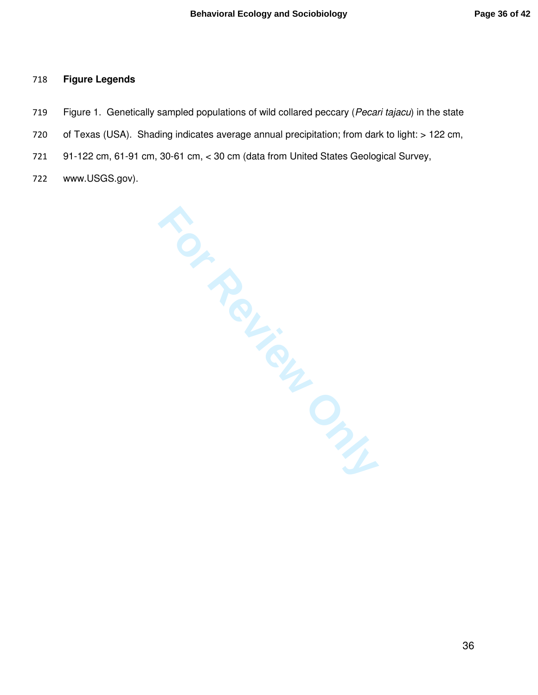#### **Figure Legends**

- 719 Figure 1. Genetically sampled populations of wild collared peccary (Pecari tajacu) in the state
- of Texas (USA). Shading indicates average annual precipitation; from dark to light: > 122 cm,
- 91-122 cm, 61-91 cm, 30-61 cm, < 30 cm (data from United States Geological Survey,
- www.USGS.gov).

**FOUTENCES**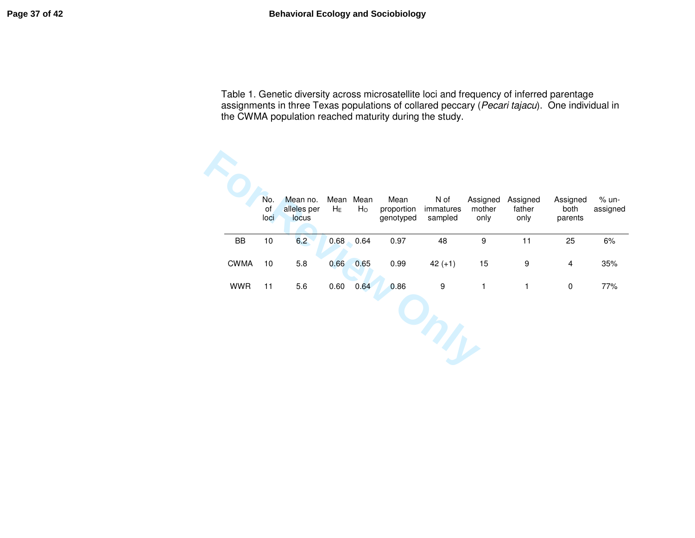Table 1. Genetic diversity across microsatellite loci and frequency of inferred parentage assignments in three Texas populations of collared peccary (*Pecari tajacu*). One individual in<br>the CWMA population reached maturity during the study.

| No.<br>οf<br>loci | Mean no.<br>alleles per<br>locus | $H_E$ | Mean<br>H <sub>o</sub> | Mean<br>proportion<br>genotyped | N of<br>immatures<br>sampled | Assigned<br>mother<br>only | Assigned<br>father<br>only | Assigned<br>both<br>parents | $% un-$<br>assigned |
|-------------------|----------------------------------|-------|------------------------|---------------------------------|------------------------------|----------------------------|----------------------------|-----------------------------|---------------------|
| 10                | 6.2                              | 0.68  | 0.64                   | 0.97                            | 48                           | 9                          | 11                         | 25                          | 6%                  |
| 10                | 5.8                              | 0.66  | 0.65                   | 0.99                            | $42 (+1)$                    | 15                         | $\boldsymbol{9}$           | $\overline{4}$              | 35%                 |
| 11                | 5.6                              | 0.60  | 0.64                   | 0.86                            | $\boldsymbol{9}$             | $\mathbf{1}$               | 1                          | $\pmb{0}$                   | 77%                 |
|                   |                                  |       |                        |                                 |                              |                            |                            |                             |                     |
|                   |                                  |       | Mean                   |                                 |                              |                            |                            |                             |                     |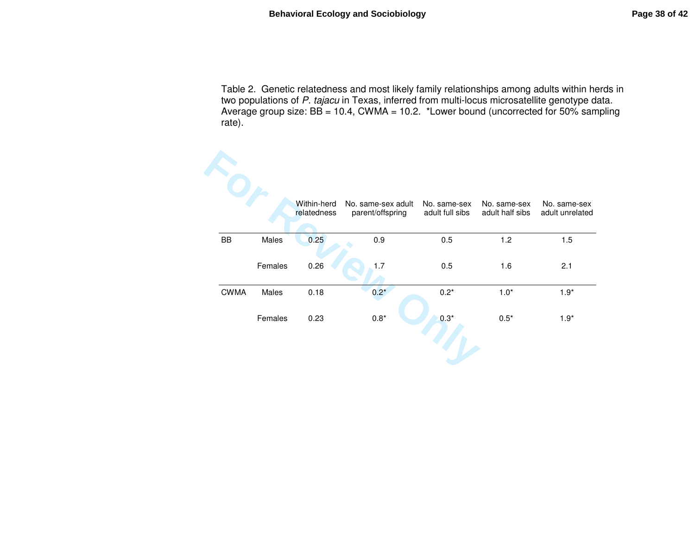Table 2. Genetic relatedness and most likely family relationships among adults within herds in<br>two populations of *P. tajacu* in Texas, inferred from multi-locus microsatellite genotype data. Average group size:  $BB = 10.4$ , CWMA = 10.2. \*Lower bound (uncorrected for 50% sampling rate).

|             |         | Within-herd<br>relatedness | No. same-sex adult<br>parent/offspring | No. same-sex<br>adult full sibs | No. same-sex<br>adult half sibs | No. same-sex<br>adult unrelated |
|-------------|---------|----------------------------|----------------------------------------|---------------------------------|---------------------------------|---------------------------------|
| BB          | Males   | 0.25                       | 0.9                                    | 0.5                             | 1.2                             | 1.5                             |
|             | Females | 0.26                       | 1.7                                    | 0.5                             | 1.6                             | 2.1                             |
| <b>CWMA</b> | Males   | 0.18                       | $0.2*$                                 | $0.2*$                          | $1.0*$                          | $1.9*$                          |
|             | Females | 0.23                       | $0.8^{\star}$                          | $0.3*$                          | $0.5*$                          | $1.9*$                          |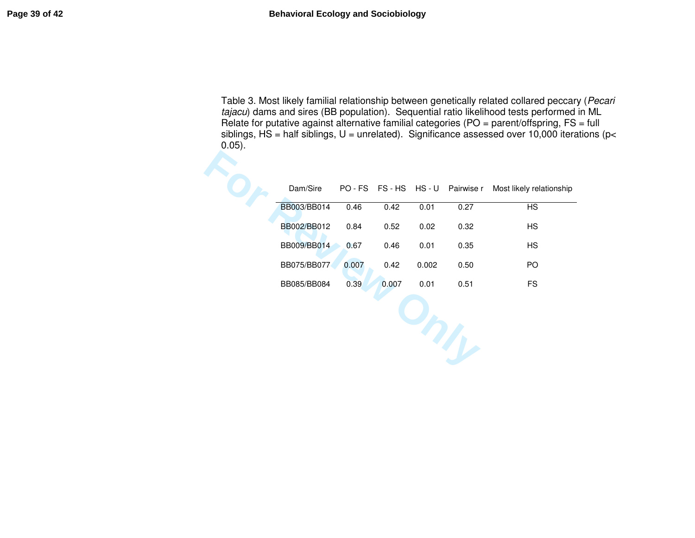Table 3. Most likely familial relationship between genetically related collared peccary (Pecari tajacu) dams and sires (BB population). Sequential ratio likelihood tests performed in ML Relate for putative against alternative familial categories (PO = parent/offspring, FS = full siblings, HS = half siblings, U = unrelated). Significance assessed over 10,000 iterations (p<  $0.05$ ).

| $\epsilon$ |             |       |       |       |                             |                          |
|------------|-------------|-------|-------|-------|-----------------------------|--------------------------|
|            | Dam/Sire    |       |       |       | PO-FS FS-HS HS-U Pairwise r | Most likely relationship |
|            | BB003/BB014 | 0.46  | 0.42  | 0.01  | 0.27                        | <b>HS</b>                |
|            | BB002/BB012 | 0.84  | 0.52  | 0.02  | 0.32                        | <b>HS</b>                |
|            | BB009/BB014 | 0.67  | 0.46  | 0.01  | 0.35                        | <b>HS</b>                |
|            | BB075/BB077 | 0.007 | 0.42  | 0.002 | 0.50                        | PO                       |
|            | BB085/BB084 | 0.39  | 0.007 | 0.01  | 0.51                        | <b>FS</b>                |
|            |             |       |       |       |                             |                          |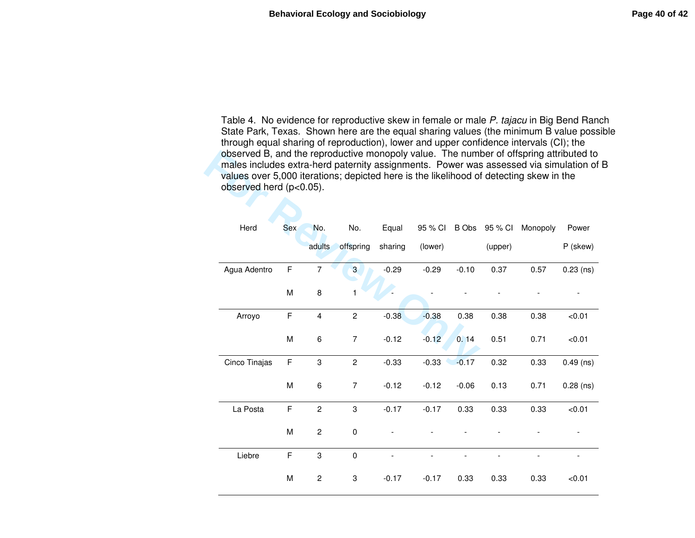Table 4. No evidence for reproductive skew in female or male P. tajacu in Big Bend Ranch State Park, Texas. Shown here are the equal sharing values (the minimum B value possible through equal sharing of reproduction), lower and upper confidence intervals (CI); the observed B, and the reproductive monopoly value. The number of offspring attributed to males includes extra-herd paternity assignments. Power was assessed via simulation of B values over 5,000 iterations; depicted here is the likelihood of detecting skew in the observed herd (p<0.05).

| observed B, and the reproductive monopoly value. The number of offspring attributed to<br>males includes extra-herd paternity assignments. Power was assessed via simulation of<br>values over 5,000 iterations; depicted here is the likelihood of detecting skew in the<br>observed herd (p<0.05). |     |                         |                  |         |         |         |         |          |             |
|------------------------------------------------------------------------------------------------------------------------------------------------------------------------------------------------------------------------------------------------------------------------------------------------------|-----|-------------------------|------------------|---------|---------|---------|---------|----------|-------------|
| Herd                                                                                                                                                                                                                                                                                                 | Sex | No.                     | No.              | Equal   | 95 % CI | B Obs   | 95 % CI | Monopoly | Power       |
|                                                                                                                                                                                                                                                                                                      |     | adults                  | offspring        | sharing | (lower) |         | (upper) |          | P (skew)    |
| Agua Adentro                                                                                                                                                                                                                                                                                         | F   | $\overline{7}$          | 3                | $-0.29$ | $-0.29$ | $-0.10$ | 0.37    | 0.57     | $0.23$ (ns) |
|                                                                                                                                                                                                                                                                                                      | M   | 8                       | 1                |         |         |         |         |          |             |
| Arroyo                                                                                                                                                                                                                                                                                               | F   | $\overline{\mathbf{4}}$ | $\overline{c}$   | $-0.38$ | $-0.38$ | 0.38    | 0.38    | 0.38     | < 0.01      |
|                                                                                                                                                                                                                                                                                                      | М   | 6                       | $\overline{7}$   | $-0.12$ | $-0.12$ | 0.14    | 0.51    | 0.71     | < 0.01      |
| Cinco Tinajas                                                                                                                                                                                                                                                                                        | F   | 3                       | $\overline{c}$   | $-0.33$ | $-0.33$ | $-0.17$ | 0.32    | 0.33     | $0.49$ (ns) |
|                                                                                                                                                                                                                                                                                                      | M   | 6                       | $\boldsymbol{7}$ | $-0.12$ | $-0.12$ | $-0.06$ | 0.13    | 0.71     | $0.28$ (ns) |
| La Posta                                                                                                                                                                                                                                                                                             | F   | $\overline{c}$          | 3                | $-0.17$ | $-0.17$ | 0.33    | 0.33    | 0.33     | < 0.01      |
|                                                                                                                                                                                                                                                                                                      | M   | $\overline{c}$          | $\mathbf 0$      |         |         |         |         |          |             |
| Liebre                                                                                                                                                                                                                                                                                               | F   | 3                       | $\pmb{0}$        |         |         |         |         |          |             |
|                                                                                                                                                                                                                                                                                                      | M   | $\overline{c}$          | 3                | $-0.17$ | $-0.17$ | 0.33    | 0.33    | 0.33     | < 0.01      |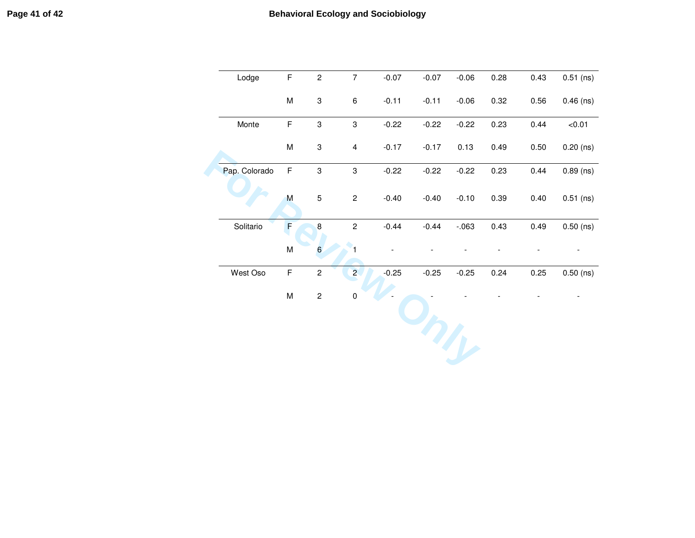| Lodge         | F         | $\overline{c}$            | $\boldsymbol{7}$        | $-0.07$ | $-0.07$ | $-0.06$ | 0.28 | 0.43 | $0.51$ (ns) |
|---------------|-----------|---------------------------|-------------------------|---------|---------|---------|------|------|-------------|
|               | M         | $\ensuremath{\mathsf{3}}$ | 6                       | $-0.11$ | $-0.11$ | $-0.06$ | 0.32 | 0.56 | $0.46$ (ns) |
| Monte         | F         | $\ensuremath{\mathsf{3}}$ | 3                       | $-0.22$ | $-0.22$ | $-0.22$ | 0.23 | 0.44 | < 0.01      |
|               | M         | $\ensuremath{\mathsf{3}}$ | $\overline{\mathbf{4}}$ | $-0.17$ | $-0.17$ | 0.13    | 0.49 | 0.50 | $0.20$ (ns) |
| Pap. Colorado | F         | $\ensuremath{\mathsf{3}}$ | 3                       | $-0.22$ | $-0.22$ | $-0.22$ | 0.23 | 0.44 | $0.89$ (ns) |
|               | ${\sf M}$ | $\mathbf 5$               | $\overline{c}$          | $-0.40$ | $-0.40$ | $-0.10$ | 0.39 | 0.40 | $0.51$ (ns) |
| Solitario     | F         | 8                         | $\overline{c}$          | $-0.44$ | $-0.44$ | $-063$  | 0.43 | 0.49 | $0.50$ (ns) |
|               | ${\sf M}$ | 6                         | 1                       |         |         |         |      |      |             |
| West Oso      | F         | $\overline{c}$            | $\overline{2}$          | $-0.25$ | $-0.25$ | $-0.25$ | 0.24 | 0.25 | $0.50$ (ns) |
|               | М         | $\mathbf 2$               | $\pmb{0}$               |         |         |         |      |      |             |
|               |           |                           |                         |         |         |         |      |      |             |